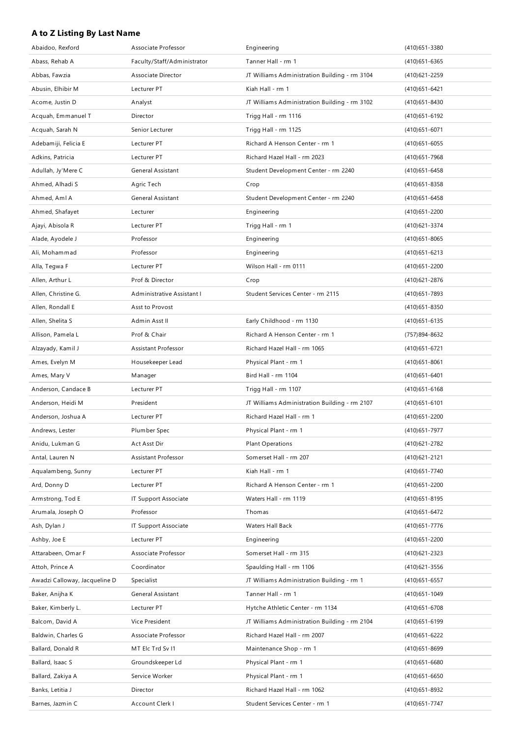## **A to Z Listing By Last Name**

| Abaidoo, Rexford              | Associate Professor         | Engineering                                   | (410) 651 - 3380  |
|-------------------------------|-----------------------------|-----------------------------------------------|-------------------|
| Abass, Rehab A                | Faculty/Staff/Administrator | Tanner Hall - rm 1                            | (410) 651-6365    |
| Abbas, Fawzia                 | Associate Director          | JT Williams Administration Building - rm 3104 | (410) 621 - 2259  |
| Abusin, Elhibir M             | Lecturer PT                 | Kiah Hall - rm 1                              | (410) 651 - 6421  |
| Acome, Justin D               | Analyst                     | JT Williams Administration Building - rm 3102 | $(410)651 - 8430$ |
| Acquah, Emmanuel T            | Director                    | Trigg Hall - rm 1116                          | (410) 651 - 6192  |
| Acquah, Sarah N               | Senior Lecturer             | Trigg Hall - rm 1125                          | $(410)651 - 6071$ |
| Adebamiji, Felicia E          | Lecturer PT                 | Richard A Henson Center - rm 1                | $(410)651 - 6055$ |
| Adkins, Patricia              | Lecturer PT                 | Richard Hazel Hall - rm 2023                  | (410) 651 - 7968  |
| Adullah, Jy'Mere C            | <b>General Assistant</b>    | Student Development Center - rm 2240          | $(410)651 - 6458$ |
| Ahmed, Alhadi S               | Agric Tech                  | Crop                                          | $(410)651 - 8358$ |
| Ahmed, Aml A                  | General Assistant           | Student Development Center - rm 2240          | (410) 651 - 6458  |
| Ahmed, Shafayet               | Lecturer                    | Engineering                                   | $(410)651 - 2200$ |
| Ajayi, Abisola R              | Lecturer PT                 | Trigg Hall - rm 1                             | (410) 621 - 3374  |
| Alade, Ayodele J              | Professor                   | Engineering                                   | $(410)651 - 8065$ |
| Ali, Mohammad                 | Professor                   | Engineering                                   | $(410)651 - 6213$ |
| Alla, Tegwa F                 | Lecturer PT                 | Wilson Hall - rm 0111                         | (410) 651 - 2200  |
| Allen, Arthur L               | Prof & Director             | Crop                                          | (410) 621 - 2876  |
| Allen, Christine G.           | Administrative Assistant I  | Student Services Center - rm 2115             | (410) 651 - 7893  |
| Allen, Rondall E              | Asst to Provost             |                                               | (410) 651 - 8350  |
| Allen, Shelita S              | Admin Asst II               | Early Childhood - rm 1130                     | $(410)651 - 6135$ |
| Allison, Pamela L             | Prof & Chair                | Richard A Henson Center - rm 1                | (757)894-8632     |
| Alzayady, Kamil J             | Assistant Professor         | Richard Hazel Hall - rm 1065                  | $(410)651 - 6721$ |
| Ames, Evelyn M                | Housekeeper Lead            | Physical Plant - rm 1                         | $(410)651 - 8061$ |
| Ames, Mary V                  | Manager                     | Bird Hall - rm 1104                           | $(410)651 - 6401$ |
| Anderson, Candace B           | Lecturer PT                 | Trigg Hall - rm 1107                          | $(410)651 - 6168$ |
| Anderson, Heidi M             | President                   | JT Williams Administration Building - rm 2107 | $(410)651 - 6101$ |
| Anderson, Joshua A            | Lecturer PT                 | Richard Hazel Hall - rm 1                     | $(410)651 - 2200$ |
| Andrews, Lester               | Plumber Spec                | Physical Plant - rm 1                         | (410) 651-7977    |
| Anidu, Lukman G               | Act Asst Dir                | <b>Plant Operations</b>                       | (410) 621 - 2782  |
| Antal, Lauren N               | Assistant Professor         | Somerset Hall - rm 207                        | (410) 621 - 2121  |
| Aqualambeng, Sunny            | Lecturer PT                 | Kiah Hall - rm 1                              | (410) 651 - 7740  |
| Ard, Donny D                  | Lecturer PT                 | Richard A Henson Center - rm 1                | (410) 651 - 2200  |
| Armstrong, Tod E              | IT Support Associate        | Waters Hall - rm 1119                         | (410) 651 - 8195  |
| Arumala, Joseph O             | Professor                   | Thomas                                        | (410) 651-6472    |
| Ash, Dylan J                  | IT Support Associate        | Waters Hall Back                              | (410) 651 - 7776  |
| Ashby, Joe E                  | Lecturer PT                 | Engineering                                   | (410) 651 - 2200  |
| Attarabeen, Omar F            | Associate Professor         | Somerset Hall - rm 315                        | (410) 621 - 2323  |
| Attoh, Prince A               | Coordinator                 | Spaulding Hall - rm 1106                      | (410) 621 - 3556  |
| Awadzi Calloway, Jacqueline D | Specialist                  | JT Williams Administration Building - rm 1    | (410) 651-6557    |
| Baker, Anijha K               | General Assistant           | Tanner Hall - rm 1                            | (410) 651 - 1049  |
| Baker, Kimberly L.            | Lecturer PT                 | Hytche Athletic Center - rm 1134              | $(410)651 - 6708$ |
| Balcom, David A               | Vice President              | JT Williams Administration Building - rm 2104 | (410) 651-6199    |
| Baldwin, Charles G            | Associate Professor         | Richard Hazel Hall - rm 2007                  | (410) 651 - 6222  |
| Ballard, Donald R             | MT Elc Trd Sv I1            | Maintenance Shop - rm 1                       | (410) 651 - 8699  |
| Ballard, Isaac S              | Groundskeeper Ld            | Physical Plant - rm 1                         | $(410)651 - 6680$ |
| Ballard, Zakiya A             | Service Worker              | Physical Plant - rm 1                         | $(410)651 - 6650$ |
| Banks, Letitia J              | Director                    | Richard Hazel Hall - rm 1062                  | (410) 651-8932    |
| Barnes, Jazmin C              | Account Clerk I             | Student Services Center - rm 1                | (410) 651 - 7747  |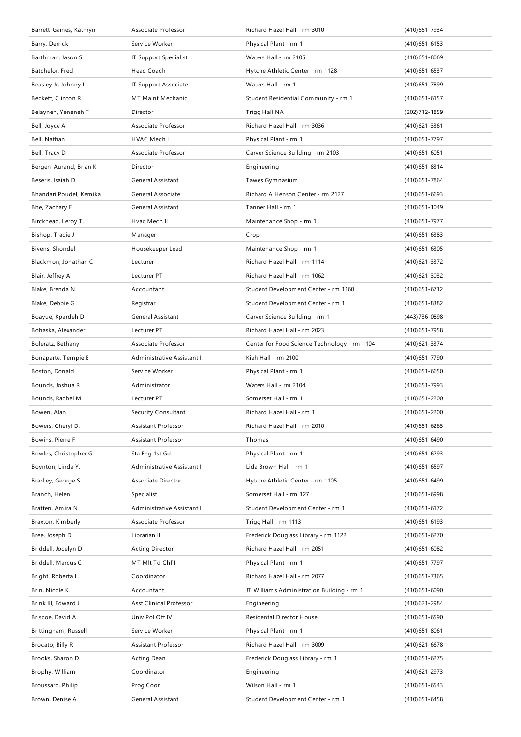| Barrett-Gaines, Kathryn | Associate Professor            | Richard Hazel Hall - rm 3010                 | (410) 651 - 7934  |
|-------------------------|--------------------------------|----------------------------------------------|-------------------|
| Barry, Derrick          | Service Worker                 | Physical Plant - rm 1                        | $(410)651 - 6153$ |
| Barthman, Jason S       | IT Support Specialist          | Waters Hall - rm 2105                        | $(410)651 - 8069$ |
| Batchelor, Fred         | Head Coach                     | Hytche Athletic Center - rm 1128             | $(410)651 - 6537$ |
| Beasley Jr, Johnny L    | IT Support Associate           | Waters Hall - rm 1                           | (410) 651 - 7899  |
| Beckett, Clinton R      | MT Maint Mechanic              | Student Residential Community - rm 1         | $(410)651 - 6157$ |
| Belayneh, Yeneneh T     | Director                       | Trigg Hall NA                                | (202) 712 - 1859  |
| Bell, Joyce A           | Associate Professor            | Richard Hazel Hall - rm 3036                 | $(410)621 - 3361$ |
| Bell, Nathan            | HVAC Mech I                    | Physical Plant - rm 1                        | (410) 651 - 7797  |
| Bell, Tracy D           | Associate Professor            | Carver Science Building - rm 2103            | $(410)651 - 6051$ |
| Bergen-Aurand, Brian K  | Director                       | Engineering                                  | $(410)651 - 8314$ |
| Beseris, Isaiah D       | General Assistant              | Tawes Gymnasium                              | (410) 651 - 7864  |
| Bhandari Poudel, Kemika | General Associate              | Richard A Henson Center - rm 2127            | $(410)651 - 6693$ |
| Bhe, Zachary E          | General Assistant              | Tanner Hall - rm 1                           | $(410)651 - 1049$ |
| Birckhead, Leroy T.     | Hvac Mech II                   | Maintenance Shop - rm 1                      | (410) 651 - 7977  |
| Bishop, Tracie J        | Manager                        | Crop                                         | $(410)651 - 6383$ |
| Bivens, Shondell        | Housekeeper Lead               | Maintenance Shop - rm 1                      | $(410)651 - 6305$ |
| Blackmon, Jonathan C    | Lecturer                       | Richard Hazel Hall - rm 1114                 | (410) 621-3372    |
| Blair, Jeffrey A        | Lecturer PT                    | Richard Hazel Hall - rm 1062                 | (410) 621 - 3032  |
| Blake, Brenda N         | Accountant                     | Student Development Center - rm 1160         | (410) 651 - 6712  |
| Blake, Debbie G         | Registrar                      | Student Development Center - rm 1            | (410) 651 - 8382  |
| Boayue, Kpardeh D       | General Assistant              | Carver Science Building - rm 1               | (443) 736-0898    |
| Bohaska, Alexander      | Lecturer PT                    | Richard Hazel Hall - rm 2023                 | (410) 651 - 7958  |
| Boleratz, Bethany       | Associate Professor            | Center for Food Science Technology - rm 1104 | (410) 621 - 3374  |
| Bonaparte, Tempie E     | Administrative Assistant I     | Kiah Hall - rm 2100                          | (410) 651 - 7790  |
|                         |                                |                                              |                   |
| Boston, Donald          | Service Worker                 | Physical Plant - rm 1                        | $(410)651 - 6650$ |
| Bounds, Joshua R        | Administrator                  | Waters Hall - rm 2104                        | (410) 651 - 7993  |
| Bounds, Rachel M        | Lecturer PT                    | Somerset Hall - rm 1                         | (410) 651 - 2200  |
| Bowen, Alan             | Security Consultant            | Richard Hazel Hall - rm 1                    | (410) 651 - 2200  |
| Bowers, Cheryl D.       | Assistant Professor            | Richard Hazel Hall - rm 2010                 | $(410)651 - 6265$ |
| Bowins, Pierre F        | Assistant Professor            | Thomas                                       | (410) 651-6490    |
| Bowles, Christopher G   | Sta Eng 1st Gd                 | Physical Plant - rm 1                        | (410) 651-6293    |
| Boynton, Linda Y.       | Administrative Assistant I     | Lida Brown Hall - rm 1                       | (410) 651-6597    |
| Bradley, George S       | Associate Director             | Hytche Athletic Center - rm 1105             | (410) 651-6499    |
| Branch, Helen           | Specialist                     | Somerset Hall - rm 127                       | $(410)651 - 6998$ |
| Bratten, Amira N        | Administrative Assistant I     | Student Development Center - rm 1            | (410) 651 - 6172  |
| Braxton, Kimberly       | Associate Professor            | Trigg Hall - rm 1113                         | $(410)651 - 6193$ |
| Bree, Joseph D          | Librarian II                   | Frederick Douglass Library - rm 1122         | (410) 651-6270    |
| Briddell, Jocelyn D     | <b>Acting Director</b>         | Richard Hazel Hall - rm 2051                 | $(410)651 - 6082$ |
| Briddell, Marcus C      | MT MIt Td Chf I                | Physical Plant - rm 1                        | (410) 651 - 7797  |
| Bright, Roberta L.      | Coordinator                    | Richard Hazel Hall - rm 2077                 | (410) 651 - 7365  |
| Brin, Nicole K.         | Accountant                     | JT Williams Administration Building - rm 1   | $(410)651 - 6090$ |
| Brink III, Edward J     | <b>Asst Clinical Professor</b> | Engineering                                  | (410) 621 - 2984  |
| Briscoe, David A        | Univ Pol Off IV                | Residental Director House                    | (410) 651-6590    |
| Brittingham, Russell    | Service Worker                 | Physical Plant - rm 1                        | $(410)651 - 8061$ |
| Brocato, Billy R        | Assistant Professor            | Richard Hazel Hall - rm 3009                 | $(410)621 - 6678$ |
| Brooks, Sharon D.       | Acting Dean                    | Frederick Douglass Library - rm 1            | (410) 651-6275    |
| Brophy, William         | Coordinator                    | Engineering                                  | (410) 621 - 2973  |
| Broussard, Philip       | Prog Coor                      | Wilson Hall - rm 1                           | $(410)651 - 6543$ |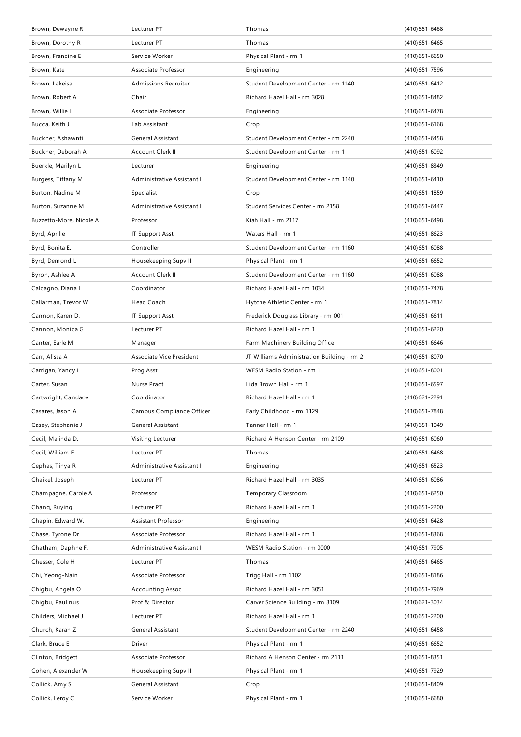| Brown, Dewayne R        | Lecturer PT                 | Thomas                                     | $(410)651 - 6468$ |
|-------------------------|-----------------------------|--------------------------------------------|-------------------|
| Brown, Dorothy R        | Lecturer PT                 | Thomas                                     | $(410)651 - 6465$ |
| Brown, Francine E       | Service Worker              | Physical Plant - rm 1                      | $(410)651 - 6650$ |
| Brown, Kate             | Associate Professor         | Engineering                                | (410) 651 - 7596  |
| Brown, Lakeisa          | <b>Admissions Recruiter</b> | Student Development Center - rm 1140       | (410) 651 - 6412  |
| Brown, Robert A         | Chair                       | Richard Hazel Hall - rm 3028               | $(410)651 - 8482$ |
| Brown, Willie L         | Associate Professor         | Engineering                                | (410) 651-6478    |
| Bucca, Keith J          | Lab Assistant               | Crop                                       | $(410)651 - 6168$ |
| Buckner, Ashawnti       | General Assistant           | Student Development Center - rm 2240       | $(410)651 - 6458$ |
| Buckner, Deborah A      | Account Clerk II            | Student Development Center - rm 1          | (410) 651-6092    |
| Buerkle, Marilyn L      | Lecturer                    | Engineering                                | $(410)651 - 8349$ |
| Burgess, Tiffany M      | Administrative Assistant I  | Student Development Center - rm 1140       | $(410)651 - 6410$ |
| Burton, Nadine M        | Specialist                  | Crop                                       | $(410)651 - 1859$ |
| Burton, Suzanne M       | Administrative Assistant I  | Student Services Center - rm 2158          | $(410)651 - 6447$ |
| Buzzetto-More, Nicole A | Professor                   | Kiah Hall - rm 2117                        | (410) 651 - 6498  |
| Byrd, Aprille           | <b>IT Support Asst</b>      | Waters Hall - rm 1                         | $(410)651 - 8623$ |
| Byrd, Bonita E.         | Controller                  | Student Development Center - rm 1160       | $(410)651 - 6088$ |
| Byrd, Demond L          | Housekeeping Supv II        | Physical Plant - rm 1                      | $(410)651 - 6652$ |
| Byron, Ashlee A         | Account Clerk II            | Student Development Center - rm 1160       | $(410)651 - 6088$ |
| Calcagno, Diana L       | Coordinator                 | Richard Hazel Hall - rm 1034               | (410) 651 - 7478  |
| Callarman, Trevor W     | Head Coach                  | Hytche Athletic Center - rm 1              | (410) 651 - 7814  |
| Cannon, Karen D.        | <b>IT Support Asst</b>      | Frederick Douglass Library - rm 001        | $(410)651 - 6611$ |
| Cannon, Monica G        | Lecturer PT                 | Richard Hazel Hall - rm 1                  | (410) 651 - 6220  |
| Canter, Earle M         | Manager                     | Farm Machinery Building Office             | (410) 651-6646    |
| Carr, Alissa A          | Associate Vice President    | JT Williams Administration Building - rm 2 | (410) 651-8070    |
|                         |                             |                                            |                   |
| Carrigan, Yancy L       | Prog Asst                   | WESM Radio Station - rm 1                  | $(410)651 - 8001$ |
| Carter, Susan           | Nurse Pract                 | Lida Brown Hall - rm 1                     | (410) 651-6597    |
| Cartwright, Candace     | Coordinator                 | Richard Hazel Hall - rm 1                  | (410) 621 - 2291  |
| Casares, Jason A        | Campus Compliance Officer   | Early Childhood - rm 1129                  | (410) 651 - 7848  |
| Casey, Stephanie J      | General Assistant           | Tanner Hall - rm 1                         | (410) 651 - 1049  |
| Cecil, Malinda D.       | Visiting Lecturer           | Richard A Henson Center - rm 2109          | $(410)651 - 6060$ |
| Cecil, William E        | Lecturer PT                 | Thomas                                     | $(410)651 - 6468$ |
| Cephas, Tinya R         | Administrative Assistant I  | Engineering                                | $(410)651 - 6523$ |
| Chaikel, Joseph         | Lecturer PT                 | Richard Hazel Hall - rm 3035               | $(410)651 - 6086$ |
| Champagne, Carole A.    | Professor                   | Temporary Classroom                        | (410) 651 - 6250  |
| Chang, Ruying           | Lecturer PT                 | Richard Hazel Hall - rm 1                  | (410) 651 - 2200  |
| Chapin, Edward W.       | Assistant Professor         | Engineering                                | (410) 651 - 6428  |
| Chase, Tyrone Dr        | Associate Professor         | Richard Hazel Hall - rm 1                  | $(410)651 - 8368$ |
| Chatham, Daphne F.      | Administrative Assistant I  | WESM Radio Station - rm 0000               | (410) 651 - 7905  |
| Chesser, Cole H         | Lecturer PT                 | Thomas                                     | (410) 651-6465    |
| Chi, Yeong-Nain         | Associate Professor         | Trigg Hall - rm 1102                       | $(410)651 - 8186$ |
| Chigbu, Angela O        | <b>Accounting Assoc</b>     | Richard Hazel Hall - rm 3051               | (410) 651 - 7969  |
| Chigbu, Paulinus        | Prof & Director             | Carver Science Building - rm 3109          | (410) 621 - 3034  |
| Childers, Michael J     | Lecturer PT                 | Richard Hazel Hall - rm 1                  | (410) 651 - 2200  |
| Church, Karah Z         | General Assistant           | Student Development Center - rm 2240       | (410) 651-6458    |
| Clark, Bruce E          | Driver                      | Physical Plant - rm 1                      | $(410)651 - 6652$ |
| Clinton, Bridgett       | Associate Professor         | Richard A Henson Center - rm 2111          | $(410)651 - 8351$ |
| Cohen, Alexander W      | Housekeeping Supv II        | Physical Plant - rm 1                      | (410) 651 - 7929  |
| Collick, Amy S          | General Assistant           | Crop                                       | (410) 651-8409    |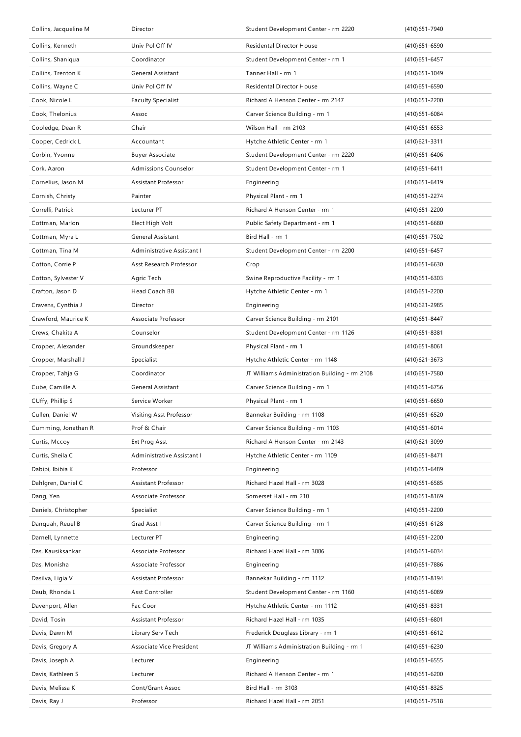| Collins, Jacqueline M | Director                   | Student Development Center - rm 2220          | (410) 651 - 7940  |
|-----------------------|----------------------------|-----------------------------------------------|-------------------|
| Collins, Kenneth      | Univ Pol Off IV            | Residental Director House                     | $(410)651 - 6590$ |
| Collins, Shaniqua     | Coordinator                | Student Development Center - rm 1             | (410) 651 - 6457  |
| Collins, Trenton K    | General Assistant          | Tanner Hall - rm 1                            | (410) 651 - 1049  |
| Collins, Wayne C      | Univ Pol Off IV            | Residental Director House                     | $(410)651 - 6590$ |
| Cook, Nicole L        | <b>Faculty Specialist</b>  | Richard A Henson Center - rm 2147             | (410) 651 - 2200  |
| Cook, Thelonius       | Assoc                      | Carver Science Building - rm 1                | $(410)651 - 6084$ |
| Cooledge, Dean R      | Chair                      | Wilson Hall - rm 2103                         | (410) 651 - 6553  |
| Cooper, Cedrick L     | Accountant                 | Hytche Athletic Center - rm 1                 | (410) 621 - 3311  |
| Corbin, Yvonne        | <b>Buyer Associate</b>     | Student Development Center - rm 2220          | (410) 651 - 6406  |
| Cork, Aaron           | Admissions Counselor       | Student Development Center - rm 1             | $(410)651 - 6411$ |
| Cornelius, Jason M    | Assistant Professor        | Engineering                                   | (410) 651 - 6419  |
| Cornish, Christy      | Painter                    | Physical Plant - rm 1                         | (410) 651 - 2274  |
| Correlli, Patrick     | Lecturer PT                | Richard A Henson Center - rm 1                | (410) 651 - 2200  |
| Cottman, Marlon       | Elect High Volt            | Public Safety Department - rm 1               | $(410)651 - 6680$ |
| Cottman, Myra L       | General Assistant          | Bird Hall - rm 1                              | (410) 651 - 7502  |
| Cottman, Tina M       | Administrative Assistant I | Student Development Center - rm 2200          | $(410)651 - 6457$ |
| Cotton, Corrie P      | Asst Research Professor    | Crop                                          | (410) 651-6630    |
| Cotton, Sylvester V   | Agric Tech                 | Swine Reproductive Facility - rm 1            | (410) 651-6303    |
| Crafton, Jason D      | Head Coach BB              | Hytche Athletic Center - rm 1                 | (410) 651 - 2200  |
| Cravens, Cynthia J    | Director                   | Engineering                                   | (410) 621 - 2985  |
| Crawford, Maurice K   | Associate Professor        | Carver Science Building - rm 2101             | $(410)651 - 8447$ |
| Crews, Chakita A      | Counselor                  | Student Development Center - rm 1126          | (410) 651 - 8381  |
| Cropper, Alexander    | Groundskeeper              | Physical Plant - rm 1                         | $(410)651 - 8061$ |
| Cropper, Marshall J   | Specialist                 | Hytche Athletic Center - rm 1148              | (410) 621 - 3673  |
| Cropper, Tahja G      | Coordinator                | JT Williams Administration Building - rm 2108 | (410)651-7580     |
| Cube, Camille A       | General Assistant          | Carver Science Building - rm 1                | (410) 651-6756    |
| CUffy, Phillip S      | Service Worker             | Physical Plant - rm 1                         | $(410)651 - 6650$ |
| Cullen, Daniel W      | Visiting Asst Professor    | Bannekar Building - rm 1108                   | (410) 651 - 6520  |
| Cumming, Jonathan R   | Prof & Chair               | Carver Science Building - rm 1103             | $(410)651 - 6014$ |
| Curtis, Mccoy         | Ext Prog Asst              | Richard A Henson Center - rm 2143             | (410) 621 - 3099  |
| Curtis, Sheila C      | Administrative Assistant I | Hytche Athletic Center - rm 1109              | (410) 651 - 8471  |
| Dabipi, Ibibia K      | Professor                  | Engineering                                   | (410) 651 - 6489  |
| Dahlgren, Daniel C    | Assistant Professor        | Richard Hazel Hall - rm 3028                  | (410) 651-6585    |
| Dang, Yen             | Associate Professor        | Somerset Hall - rm 210                        | (410) 651-8169    |
| Daniels, Christopher  | Specialist                 | Carver Science Building - rm 1                | (410) 651 - 2200  |
| Danguah, Reuel B      | Grad Asst I                | Carver Science Building - rm 1                | $(410)651 - 6128$ |
| Darnell, Lynnette     | Lecturer PT                | Engineering                                   | (410) 651 - 2200  |
| Das, Kausiksankar     | Associate Professor        | Richard Hazel Hall - rm 3006                  | (410) 651 - 6034  |
| Das, Monisha          | Associate Professor        | Engineering                                   | (410) 651 - 7886  |
| Dasilva, Ligia V      | Assistant Professor        | Bannekar Building - rm 1112                   | (410) 651 - 8194  |
| Daub, Rhonda L        | Asst Controller            | Student Development Center - rm 1160          | $(410)651 - 6089$ |
| Davenport, Allen      | Fac Coor                   | Hytche Athletic Center - rm 1112              | $(410)651 - 8331$ |
| David, Tosin          | Assistant Professor        | Richard Hazel Hall - rm 1035                  | $(410)651 - 6801$ |
| Davis, Dawn M         | Library Serv Tech          | Frederick Douglass Library - rm 1             | $(410)651 - 6612$ |
| Davis, Gregory A      | Associate Vice President   | JT Williams Administration Building - rm 1    | (410) 651 - 6230  |
| Davis, Joseph A       | Lecturer                   | Engineering                                   | $(410)651 - 6555$ |
| Davis, Kathleen S     | Lecturer                   | Richard A Henson Center - rm 1                | $(410)651 - 6200$ |
| Davis, Melissa K      | Cont/Grant Assoc           | Bird Hall - rm 3103                           | (410) 651 - 8325  |
| Davis, Ray J          | Professor                  | Richard Hazel Hall - rm 2051                  | (410) 651 - 7518  |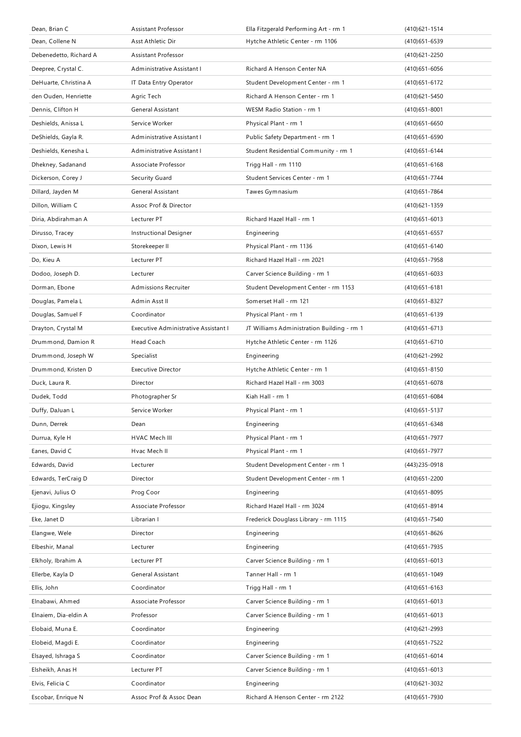| Dean, Brian C          | Assistant Professor                  | Ella Fitzgerald Performing Art - rm 1      | (410) 621 - 1514  |
|------------------------|--------------------------------------|--------------------------------------------|-------------------|
| Dean, Collene N        | Asst Athletic Dir                    | Hytche Athletic Center - rm 1106           | (410) 651-6539    |
| Debenedetto, Richard A | <b>Assistant Professor</b>           |                                            | (410) 621 - 2250  |
| Deepree, Crystal C.    | Administrative Assistant I           | Richard A Henson Center NA                 | $(410)651 - 6056$ |
| DeHuarte, Christina A  | IT Data Entry Operator               | Student Development Center - rm 1          | (410) 651 - 6172  |
| den Ouden, Henriette   | Agric Tech                           | Richard A Henson Center - rm 1             | $(410)621 - 5450$ |
| Dennis, Clifton H      | General Assistant                    | WESM Radio Station - rm 1                  | $(410)651 - 8001$ |
| Deshields, Anissa L    | Service Worker                       | Physical Plant - rm 1                      | $(410)651 - 6650$ |
| DeShields, Gayla R.    | Administrative Assistant I           | Public Safety Department - rm 1            | $(410)651 - 6590$ |
| Deshields, Kenesha L   | Administrative Assistant I           | Student Residential Community - rm 1       | $(410)651 - 6144$ |
| Dhekney, Sadanand      | Associate Professor                  | Trigg Hall - rm 1110                       | $(410)651 - 6168$ |
| Dickerson, Corey J     | Security Guard                       | Student Services Center - rm 1             | (410) 651 - 7744  |
| Dillard, Jayden M      | General Assistant                    | Tawes Gymnasium                            | (410) 651 - 7864  |
| Dillon, William C      | Assoc Prof & Director                |                                            | (410) 621 - 1359  |
| Diria, Abdirahman A    | Lecturer PT                          | Richard Hazel Hall - rm 1                  | $(410)651 - 6013$ |
| Dirusso, Tracey        | Instructional Designer               | Engineering                                | $(410)651 - 6557$ |
| Dixon, Lewis H         | Storekeeper II                       | Physical Plant - rm 1136                   | $(410)651 - 6140$ |
| Do, Kieu A             | Lecturer PT                          | Richard Hazel Hall - rm 2021               | (410) 651 - 7958  |
| Dodoo, Joseph D.       | Lecturer                             | Carver Science Building - rm 1             | $(410)651 - 6033$ |
| Dorman, Ebone          | <b>Admissions Recruiter</b>          | Student Development Center - rm 1153       | $(410)651 - 6181$ |
| Douglas, Pamela L      | Admin Asst II                        | Somerset Hall - rm 121                     | $(410)651 - 8327$ |
| Douglas, Samuel F      | Coordinator                          | Physical Plant - rm 1                      | (410) 651 - 6139  |
| Drayton, Crystal M     | Executive Administrative Assistant I | JT Williams Administration Building - rm 1 | $(410)651 - 6713$ |
| Drummond, Damion R     | Head Coach                           | Hytche Athletic Center - rm 1126           | (410) 651-6710    |
| Drummond, Joseph W     | Specialist                           | Engineering                                | (410) 621 - 2992  |
|                        |                                      |                                            |                   |
| Drummond, Kristen D    | <b>Executive Director</b>            | Hytche Athletic Center - rm 1              | $(410)651 - 8150$ |
| Duck, Laura R.         | <b>Director</b>                      | Richard Hazel Hall - rm 3003               | $(410)651 - 6078$ |
| Dudek, Todd            | Photographer Sr                      | Kiah Hall - rm 1                           | $(410)651 - 6084$ |
| Duffy, DaJuan L        | Service Worker                       | Physical Plant - rm 1                      | (410) 651 - 5137  |
| Dunn, Derrek           | Dean                                 | Engineering                                | (410) 651-6348    |
| Durrua, Kyle H         | HVAC Mech III                        | Physical Plant - rm 1                      | (410) 651 - 7977  |
| Eanes, David C         | Hvac Mech II                         | Physical Plant - rm 1                      | (410) 651 - 7977  |
| Edwards, David         | Lecturer                             | Student Development Center - rm 1          | (443) 235-0918    |
| Edwards, TerCraig D    | Director                             | Student Development Center - rm 1          | (410) 651 - 2200  |
| Ejenavi, Julius O      | Prog Coor                            | Engineering                                | $(410)651 - 8095$ |
| Ejiogu, Kingsley       | Associate Professor                  | Richard Hazel Hall - rm 3024               | (410) 651-8914    |
| Eke, Janet D           | Librarian I                          | Frederick Douglass Library - rm 1115       | (410) 651 - 7540  |
| Elangwe, Wele          | Director                             | Engineering                                | $(410)651 - 8626$ |
| Elbeshir, Manal        | Lecturer                             | Engineering                                | (410) 651 - 7935  |
| Elkholy, Ibrahim A     | Lecturer PT                          | Carver Science Building - rm 1             | $(410)651 - 6013$ |
| Ellerbe, Kayla D       | General Assistant                    | Tanner Hall - rm 1                         | (410) 651 - 1049  |
| Ellis, John            | Coordinator                          | Trigg Hall - rm 1                          | $(410)651 - 6163$ |
| Elnabawi, Ahmed        | Associate Professor                  | Carver Science Building - rm 1             | $(410)651 - 6013$ |
| Elnaiem, Dia-eldin A   | Professor                            | Carver Science Building - rm 1             | $(410)651 - 6013$ |
| Elobaid, Muna E.       | Coordinator                          | Engineering                                | (410) 621 - 2993  |
| Elobeid, Magdi E.      | Coordinator                          | Engineering                                | (410) 651 - 7522  |
| Elsayed, Ishraga S     | Coordinator                          | Carver Science Building - rm 1             | $(410)651 - 6014$ |
| Elsheikh, Anas H       | Lecturer PT                          | Carver Science Building - rm 1             | $(410)651 - 6013$ |
| Elvis, Felicia C       | Coordinator                          | Engineering                                | (410) 621 - 3032  |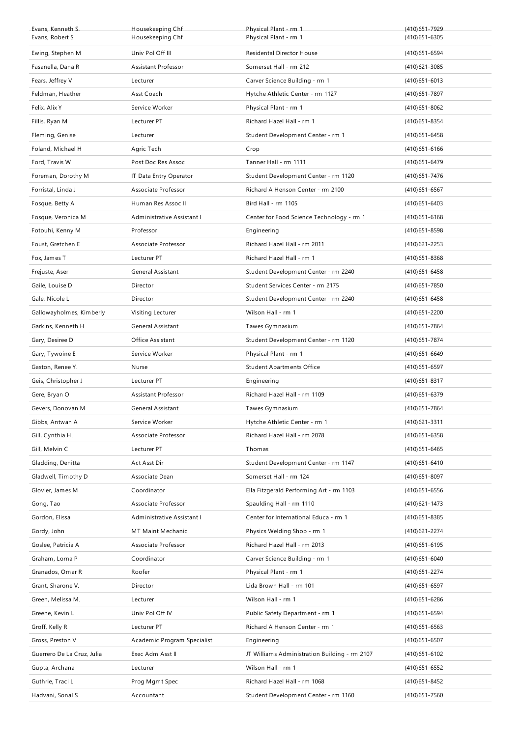| Evans, Kenneth S.          | Housekeeping Chf            | Physical Plant - rm 1                         | (410) 651 - 7929  |
|----------------------------|-----------------------------|-----------------------------------------------|-------------------|
| Evans, Robert S            | Housekeeping Chf            | Physical Plant - rm 1                         | $(410)651 - 6305$ |
| Ewing, Stephen M           | Univ Pol Off III            | Residental Director House                     | (410) 651-6594    |
| Fasanella, Dana R          | Assistant Professor         | Somerset Hall - rm 212                        | (410) 621 - 3085  |
| Fears, Jeffrey V           | Lecturer                    | Carver Science Building - rm 1                | $(410)651 - 6013$ |
| Feldman, Heather           | Asst Coach                  | Hytche Athletic Center - rm 1127              | (410) 651 - 7897  |
| Felix, Alix Y              | Service Worker              | Physical Plant - rm 1                         | $(410)651 - 8062$ |
| Fillis, Ryan M             | Lecturer PT                 | Richard Hazel Hall - rm 1                     | (410) 651 - 8354  |
| Fleming, Genise            | Lecturer                    | Student Development Center - rm 1             | $(410)651 - 6458$ |
| Foland, Michael H          | Agric Tech                  | Crop                                          | $(410)651 - 6166$ |
| Ford, Travis W             | Post Doc Res Assoc          | Tanner Hall - rm 1111                         | (410) 651 - 6479  |
| Foreman, Dorothy M         | IT Data Entry Operator      | Student Development Center - rm 1120          | (410) 651 - 7476  |
| Forristal, Linda J         | Associate Professor         | Richard A Henson Center - rm 2100             | $(410)651 - 6567$ |
| Fosque, Betty A            | Human Res Assoc II          | Bird Hall - rm 1105                           | $(410)651 - 6403$ |
| Fosque, Veronica M         | Administrative Assistant I  | Center for Food Science Technology - rm 1     | $(410)651 - 6168$ |
| Fotouhi, Kenny M           | Professor                   | Engineering                                   | $(410)651 - 8598$ |
| Foust, Gretchen E          | Associate Professor         | Richard Hazel Hall - rm 2011                  | (410) 621 - 2253  |
| Fox, James T               | Lecturer PT                 | Richard Hazel Hall - rm 1                     | $(410)651 - 8368$ |
| Frejuste, Aser             | General Assistant           | Student Development Center - rm 2240          | (410) 651 - 6458  |
| Gaile, Louise D            | Director                    | Student Services Center - rm 2175             | $(410)651 - 7850$ |
| Gale, Nicole L             | Director                    | Student Development Center - rm 2240          | $(410)651 - 6458$ |
| Gallowayholmes, Kimberly   | Visiting Lecturer           | Wilson Hall - rm 1                            | $(410)651 - 2200$ |
| Garkins, Kenneth H         | General Assistant           | Tawes Gymnasium                               | (410) 651 - 7864  |
| Gary, Desiree D            | Office Assistant            | Student Development Center - rm 1120          | (410) 651 - 7874  |
| Gary, Tywoine E            | Service Worker              | Physical Plant - rm 1                         | $(410)651 - 6649$ |
|                            |                             |                                               |                   |
| Gaston, Renee Y.           | Nurse                       | <b>Student Apartments Office</b>              | $(410)651 - 6597$ |
| Geis, Christopher J        | Lecturer PT                 | Engineering                                   | $(410)651 - 8317$ |
| Gere, Bryan O              | <b>Assistant Professor</b>  | Richard Hazel Hall - rm 1109                  | (410) 651-6379    |
| Gevers, Donovan M          | General Assistant           | Tawes Gymnasium                               | (410) 651 - 7864  |
| Gibbs, Antwan A            | Service Worker              | Hytche Athletic Center - rm 1                 | (410) 621 - 3311  |
| Gill, Cynthia H.           | Associate Professor         | Richard Hazel Hall - rm 2078                  | $(410)651 - 6358$ |
| Gill, Melvin C             | Lecturer PT                 | Thomas                                        | $(410)651 - 6465$ |
| Gladding, Denitta          | Act Asst Dir                | Student Development Center - rm 1147          | $(410)651 - 6410$ |
| Gladwell, Timothy D        | Associate Dean              | Somerset Hall - rm 124                        | (410) 651-8097    |
| Glovier, James M           | Coordinator                 | Ella Fitzgerald Performing Art - rm 1103      | $(410)651 - 6556$ |
| Gong, Tao                  | Associate Professor         | Spaulding Hall - rm 1110                      | (410) 621 - 1473  |
| Gordon, Elissa             | Administrative Assistant I  | Center for International Educa - rm 1         | $(410)651 - 8385$ |
| Gordy, John                | MT Maint Mechanic           | Physics Welding Shop - rm 1                   | (410) 621 - 2274  |
| Goslee, Patricia A         | Associate Professor         | Richard Hazel Hall - rm 2013                  | (410) 651 - 6195  |
| Graham, Lorna P            | Coordinator                 | Carver Science Building - rm 1                | $(410)651 - 6040$ |
| Granados, Omar R           | Roofer                      | Physical Plant - rm 1                         | (410) 651 - 2274  |
| Grant, Sharone V.          | Director                    | Lida Brown Hall - rm 101                      | $(410)651 - 6597$ |
| Green, Melissa M.          | Lecturer                    | Wilson Hall - rm 1                            | (410) 651-6286    |
| Greene, Kevin L            | Univ Pol Off IV             | Public Safety Department - rm 1               | (410) 651 - 6594  |
| Groff, Kelly R             | Lecturer PT                 | Richard A Henson Center - rm 1                | $(410)651 - 6563$ |
| Gross, Preston V           | Academic Program Specialist | Engineering                                   | $(410)651 - 6507$ |
| Guerrero De La Cruz, Julia | Exec Adm Asst II            | JT Williams Administration Building - rm 2107 | (410) 651-6102    |
| Gupta, Archana             | Lecturer                    | Wilson Hall - rm 1                            | (410) 651-6552    |
| Guthrie, Traci L           | Prog Mgmt Spec              | Richard Hazel Hall - rm 1068                  | (410) 651 - 8452  |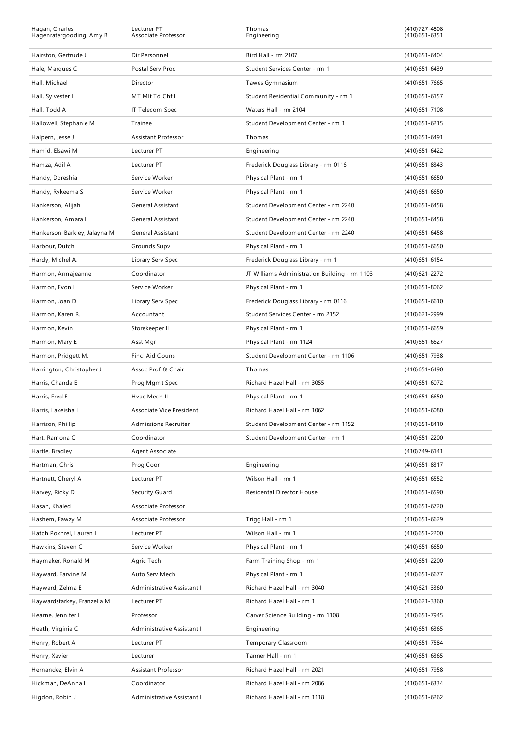| Hagan, Charles<br>Hagenratergooding, Amy B | Lecturer PT<br>Associate Professor | Thomas<br>Engineering                         | (410) 727-4808<br>$(410)651 - 6351$ |
|--------------------------------------------|------------------------------------|-----------------------------------------------|-------------------------------------|
|                                            |                                    |                                               |                                     |
| Hairston, Gertrude J                       | Dir Personnel                      | Bird Hall - rm 2107                           | (410) 651-6404                      |
| Hale, Marques C                            | Postal Serv Proc                   | Student Services Center - rm 1                | (410) 651 - 6439                    |
| Hall, Michael                              | Director                           | Tawes Gymnasium                               | $(410)651 - 7665$                   |
| Hall, Sylvester L                          | MT MIt Td Chf I                    | Student Residential Community - rm 1          | $(410)651 - 6157$                   |
| Hall, Todd A                               | IT Telecom Spec                    | Waters Hall - rm 2104                         | (410) 651 - 7108                    |
| Hallowell, Stephanie M                     | Trainee                            | Student Development Center - rm 1             | $(410)651 - 6215$                   |
| Halpern, Jesse J                           | Assistant Professor                | Thomas                                        | $(410)651 - 6491$                   |
| Hamid, Elsawi M                            | Lecturer PT                        | Engineering                                   | (410) 651 - 6422                    |
| Hamza, Adil A                              | Lecturer PT                        | Frederick Douglass Library - rm 0116          | $(410)651 - 8343$                   |
| Handy, Doreshia                            | Service Worker                     | Physical Plant - rm 1                         | $(410)651 - 6650$                   |
| Handy, Rykeema S                           | Service Worker                     | Physical Plant - rm 1                         | $(410)651 - 6650$                   |
| Hankerson, Alijah                          | General Assistant                  | Student Development Center - rm 2240          | $(410)651 - 6458$                   |
| Hankerson, Amara L                         | General Assistant                  | Student Development Center - rm 2240          | $(410)651 - 6458$                   |
| Hankerson-Barkley, Jalayna M               | General Assistant                  | Student Development Center - rm 2240          | $(410)651 - 6458$                   |
| Harbour, Dutch                             | Grounds Supv                       | Physical Plant - rm 1                         | $(410)651 - 6650$                   |
| Hardy, Michel A.                           | Library Serv Spec                  | Frederick Douglass Library - rm 1             | $(410)651 - 6154$                   |
| Harmon, Armajeanne                         | Coordinator                        | JT Williams Administration Building - rm 1103 | (410) 621 - 2272                    |
| Harmon, Evon L                             | Service Worker                     | Physical Plant - rm 1                         | $(410)651 - 8062$                   |
| Harmon, Joan D                             | Library Serv Spec                  | Frederick Douglass Library - rm 0116          | $(410)651 - 6610$                   |
| Harmon, Karen R.                           | Accountant                         | Student Services Center - rm 2152             | (410) 621 - 2999                    |
| Harmon, Kevin                              | Storekeeper II                     | Physical Plant - rm 1                         | $(410)651 - 6659$                   |
| Harmon, Mary E                             | Asst Mgr                           | Physical Plant - rm 1124                      | $(410)651 - 6627$                   |
| Harmon, Pridgett M.                        | Fincl Aid Couns                    | Student Development Center - rm 1106          | (410) 651 - 7938                    |
| Harrington, Christopher J                  | Assoc Prof & Chair                 | Thomas                                        | $(410)651 - 6490$                   |
| Harris, Chanda E                           | Prog Mgmt Spec                     | Richard Hazel Hall - rm 3055                  | (410) 651-6072                      |
|                                            | Hvac Mech II                       | Physical Plant - rm 1                         | $(410)651 - 6650$                   |
| Harris, Fred E                             |                                    |                                               |                                     |
| Harris, Lakeisha L                         | Associate Vice President           | Richard Hazel Hall - rm 1062                  | $(410)651 - 6080$                   |
| Harrison, Phillip                          | Admissions Recruiter               | Student Development Center - rm 1152          | (410) 651-8410                      |
| Hart, Ramona C                             | Coordinator                        | Student Development Center - rm 1             | (410) 651 - 2200                    |
| Hartle, Bradley                            | Agent Associate                    |                                               | (410) 749-6141                      |
| Hartman, Chris                             | Prog Coor                          | Engineering                                   | $(410)651 - 8317$                   |
| Hartnett, Cheryl A                         | Lecturer PT                        | Wilson Hall - rm 1                            | $(410)651 - 6552$                   |
| Harvey, Ricky D                            | Security Guard                     | Residental Director House                     | $(410)651 - 6590$                   |
| Hasan, Khaled                              | Associate Professor                |                                               | (410) 651-6720                      |
| Hashem, Fawzy M                            | Associate Professor                | Trigg Hall - rm 1                             | (410) 651-6629                      |
| Hatch Pokhrel, Lauren L                    | Lecturer PT                        | Wilson Hall - rm 1                            | (410) 651 - 2200                    |
| Hawkins, Steven C                          | Service Worker                     | Physical Plant - rm 1                         | $(410)651 - 6650$                   |
| Haymaker, Ronald M                         | Agric Tech                         | Farm Training Shop - rm 1                     | $(410)651 - 2200$                   |
| Hayward, Earvine M                         | Auto Serv Mech                     | Physical Plant - rm 1                         | $(410)651 - 6677$                   |
| Hayward, Zelma E                           | Administrative Assistant I         | Richard Hazel Hall - rm 3040                  | (410) 621 - 3360                    |
| Haywardstarkey, Franzella M                | Lecturer PT                        | Richard Hazel Hall - rm 1                     | (410) 621 - 3360                    |
| Hearne, Jennifer L                         | Professor                          | Carver Science Building - rm 1108             | (410) 651 - 7945                    |
| Heath, Virginia C                          | Administrative Assistant I         | Engineering                                   | (410) 651-6365                      |
| Henry, Robert A                            | Lecturer PT                        | Temporary Classroom                           | (410) 651 - 7584                    |
| Henry, Xavier                              | Lecturer                           | Tanner Hall - rm 1                            | (410) 651-6365                      |
| Hernandez, Elvin A                         | Assistant Professor                | Richard Hazel Hall - rm 2021                  | (410) 651 - 7958                    |
| Hickman, DeAnna L                          | Coordinator                        | Richard Hazel Hall - rm 2086                  | (410) 651-6334                      |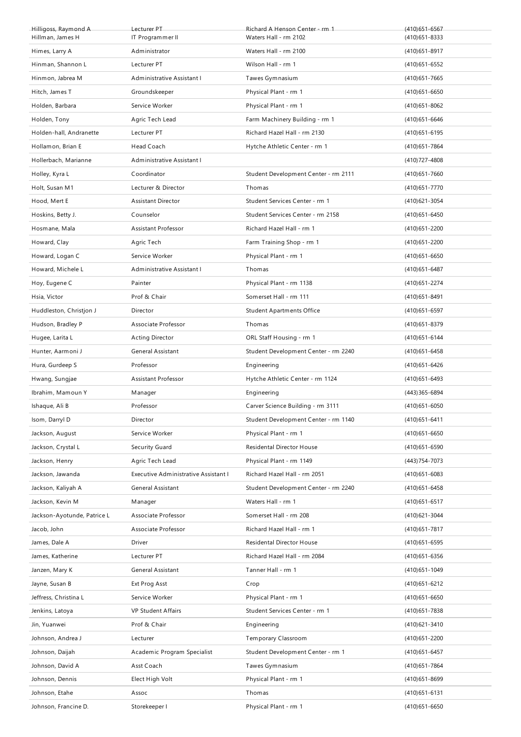| Hilligoss, Raymond A<br>Hillman, James H | Lecturer PT<br>IT Programmer II      | Richard A Henson Center - rm 1<br>Waters Hall - rm 2102 | $(410)651 - 6567$<br>$(410)651 - 8333$ |
|------------------------------------------|--------------------------------------|---------------------------------------------------------|----------------------------------------|
| Himes, Larry A                           | Administrator                        | Waters Hall - rm 2100                                   | $(410)651 - 8917$                      |
| Hinman, Shannon L                        | Lecturer PT                          | Wilson Hall - rm 1                                      | $(410)651 - 6552$                      |
| Hinmon, Jabrea M                         | Administrative Assistant I           | Tawes Gymnasium                                         | (410) 651 - 7665                       |
| Hitch, James T                           | Groundskeeper                        | Physical Plant - rm 1                                   | $(410)651 - 6650$                      |
| Holden, Barbara                          | Service Worker                       | Physical Plant - rm 1                                   | (410) 651-8062                         |
| Holden, Tony                             | Agric Tech Lead                      | Farm Machinery Building - rm 1                          | $(410)651 - 6646$                      |
| Holden-hall, Andranette                  | Lecturer PT                          | Richard Hazel Hall - rm 2130                            | $(410)651 - 6195$                      |
| Hollamon, Brian E                        | Head Coach                           | Hytche Athletic Center - rm 1                           | (410) 651 - 7864                       |
| Hollerbach, Marianne                     | Administrative Assistant I           |                                                         | (410) 727-4808                         |
| Holley, Kyra L                           | Coordinator                          | Student Development Center - rm 2111                    | $(410)651 - 7660$                      |
| Holt, Susan M1                           | Lecturer & Director                  | Thomas                                                  | (410) 651 - 7770                       |
| Hood, Mert E                             | <b>Assistant Director</b>            | Student Services Center - rm 1                          | $(410)621 - 3054$                      |
| Hoskins, Betty J.                        | Counselor                            | Student Services Center - rm 2158                       | (410) 651-6450                         |
| Hosmane, Mala                            | Assistant Professor                  | Richard Hazel Hall - rm 1                               | (410) 651 - 2200                       |
| Howard, Clay                             |                                      | Farm Training Shop - rm 1                               |                                        |
| Howard, Logan C                          | Agric Tech<br>Service Worker         | Physical Plant - rm 1                                   | $(410)651 - 2200$                      |
| Howard, Michele L                        | Administrative Assistant I           | Thomas                                                  | $(410)651 - 6650$                      |
|                                          |                                      |                                                         | (410) 651-6487                         |
| Hoy, Eugene C                            | Painter<br>Prof & Chair              | Physical Plant - rm 1138<br>Somerset Hall - rm 111      | (410) 651 - 2274                       |
| Hsia, Victor                             |                                      |                                                         | $(410)651 - 8491$                      |
| Huddleston, Christjon J                  | Director<br>Associate Professor      | <b>Student Apartments Office</b>                        | $(410)651 - 6597$                      |
| Hudson, Bradley P                        |                                      | Thomas                                                  | (410) 651 - 8379                       |
| Hugee, Larita L                          | <b>Acting Director</b>               | ORL Staff Housing - rm 1                                | $(410)651 - 6144$                      |
| Hunter, Aarmoni J                        | General Assistant                    | Student Development Center - rm 2240                    | $(410)651 - 6458$                      |
| Hura, Gurdeep S                          | Professor                            | Engineering                                             | (410) 651 - 6426                       |
| Hwang, Sungjae                           | Assistant Professor                  | Hytche Athletic Center - rm 1124                        | (410) 651 - 6493                       |
| Ibrahim, Mamoun Y                        | Manager                              | Engineering                                             | (443) 365-6894                         |
| Ishaque, Ali B                           | Professor                            | Carver Science Building - rm 3111                       | $(410)651 - 6050$                      |
| Isom, Darryl D                           | Director                             | Student Development Center - rm 1140                    | $(410)651 - 6411$                      |
| Jackson, August                          | Service Worker                       | Physical Plant - rm 1                                   | $(410)651 - 6650$                      |
| Jackson, Crystal L                       | Security Guard                       | Residental Director House                               | $(410)651 - 6590$                      |
| Jackson, Henry                           | Agric Tech Lead                      | Physical Plant - rm 1149                                | (443) 754-7073                         |
| Jackson, Jawanda                         | Executive Administrative Assistant I | Richard Hazel Hall - rm 2051                            | $(410)651 - 6083$                      |
| Jackson, Kaliyah A                       | General Assistant                    | Student Development Center - rm 2240                    | $(410)651 - 6458$                      |
| Jackson, Kevin M                         | Manager                              | Waters Hall - rm 1                                      | $(410)651 - 6517$                      |
| Jackson-Ayotunde, Patrice L              | Associate Professor                  | Somerset Hall - rm 208                                  | (410) 621 - 3044                       |
| Jacob, John                              | Associate Professor                  | Richard Hazel Hall - rm 1                               | (410) 651 - 7817                       |
| James, Dale A                            | Driver                               | Residental Director House                               | (410) 651-6595                         |
| James, Katherine                         | Lecturer PT                          | Richard Hazel Hall - rm 2084                            | $(410)651 - 6356$                      |
| Janzen, Mary K                           | General Assistant                    | Tanner Hall - rm 1                                      | (410) 651 - 1049                       |
| Jayne, Susan B                           | Ext Prog Asst                        | Crop                                                    | (410) 651-6212                         |
| Jeffress, Christina L                    | Service Worker                       | Physical Plant - rm 1                                   | $(410)651 - 6650$                      |
| Jenkins, Latoya                          | <b>VP Student Affairs</b>            | Student Services Center - rm 1                          | (410) 651 - 7838                       |
| Jin, Yuanwei                             | Prof & Chair                         | Engineering                                             | (410) 621 - 3410                       |
| Johnson, Andrea J                        | Lecturer                             | Temporary Classroom                                     | (410) 651 - 2200                       |
| Johnson, Daijah                          | Academic Program Specialist          | Student Development Center - rm 1                       | (410) 651-6457                         |
| Johnson, David A                         | Asst Coach                           | Tawes Gymnasium                                         | (410) 651 - 7864                       |
| Johnson, Dennis                          | Elect High Volt                      | Physical Plant - rm 1                                   | $(410)651 - 8699$                      |
| Johnson, Etahe                           | Assoc                                | Thomas                                                  | $(410)651 - 6131$                      |
| Johnson, Francine D.                     | Storekeeper I                        | Physical Plant - rm 1                                   | $(410)651 - 6650$                      |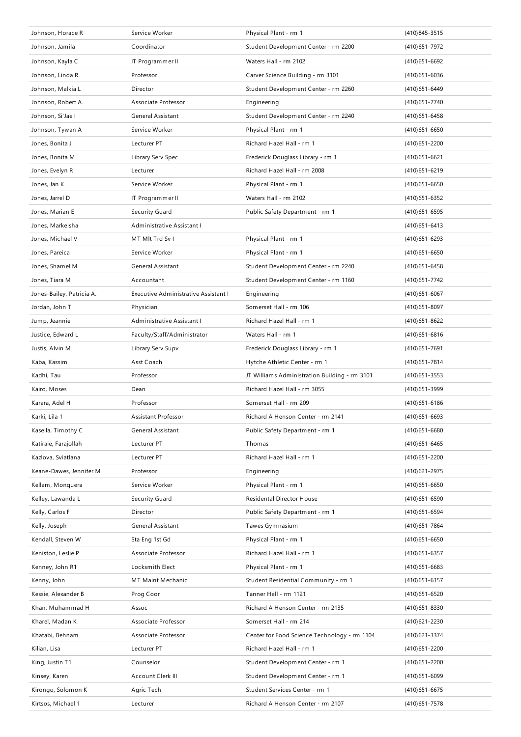| Johnson, Horace R         | Service Worker                       | Physical Plant - rm 1                         | (410) 845 - 3515  |
|---------------------------|--------------------------------------|-----------------------------------------------|-------------------|
| Johnson, Jamila           | Coordinator                          | Student Development Center - rm 2200          | (410) 651 - 7972  |
| Johnson, Kayla C          | IT Programmer II                     | Waters Hall - rm 2102                         | $(410)651 - 6692$ |
| Johnson, Linda R.         | Professor                            | Carver Science Building - rm 3101             | (410) 651-6036    |
| Johnson, Malkia L         | Director                             | Student Development Center - rm 2260          | (410) 651 - 6449  |
| Johnson, Robert A.        | Associate Professor                  | Engineering                                   | (410) 651 - 7740  |
| Johnson, Si'Jae I         | <b>General Assistant</b>             | Student Development Center - rm 2240          | (410) 651 - 6458  |
| Johnson, Tywan A          | Service Worker                       | Physical Plant - rm 1                         | $(410)651 - 6650$ |
| Jones, Bonita J           | Lecturer PT                          | Richard Hazel Hall - rm 1                     | (410) 651 - 2200  |
| Jones, Bonita M.          | Library Serv Spec                    | Frederick Douglass Library - rm 1             | $(410)651 - 6621$ |
| Jones, Evelyn R           | Lecturer                             | Richard Hazel Hall - rm 2008                  | $(410)651 - 6219$ |
| Jones, Jan K              | Service Worker                       | Physical Plant - rm 1                         | $(410)651 - 6650$ |
| Jones, Jarrel D           | IT Programmer II                     | Waters Hall - rm 2102                         | (410) 651 - 6352  |
| Jones, Marian E           | Security Guard                       | Public Safety Department - rm 1               | (410) 651-6595    |
| Jones, Markeisha          | Administrative Assistant I           |                                               | $(410)651 - 6413$ |
| Jones, Michael V          | MT MIt Trd Sv I                      | Physical Plant - rm 1                         | (410) 651 - 6293  |
| Jones, Pareica            | Service Worker                       | Physical Plant - rm 1                         | $(410)651 - 6650$ |
| Jones, Shamel M           | General Assistant                    | Student Development Center - rm 2240          | (410) 651 - 6458  |
| Jones, Tiara M            | Accountant                           | Student Development Center - rm 1160          | (410) 651 - 7742  |
| Jones-Bailey, Patricia A. | Executive Administrative Assistant I | Engineering                                   | $(410)651 - 6067$ |
| Jordan, John T            | Physician                            | Somerset Hall - rm 106                        | $(410)651 - 8097$ |
| Jump, Jeannie             | Administrative Assistant I           | Richard Hazel Hall - rm 1                     | (410) 651 - 8622  |
| Justice, Edward L         | Faculty/Staff/Administrator          | Waters Hall - rm 1                            | (410) 651 - 6816  |
| Justis, Alvin M           | Library Serv Supv                    | Frederick Douglass Library - rm 1             | (410) 651 - 7691  |
| Kaba, Kassim              | Asst Coach                           | Hytche Athletic Center - rm 1                 | (410) 651 - 7814  |
| Kadhi, Tau                | Professor                            | JT Williams Administration Building - rm 3101 | (410)651-3553     |
| Kairo, Moses              | Dean                                 | Richard Hazel Hall - rm 3055                  | (410) 651 - 3999  |
| Karara, Adel H            | Professor                            | Somerset Hall - rm 209                        | $(410)651 - 6186$ |
| Karki, Lila 1             | <b>Assistant Professor</b>           | Richard A Henson Center - rm 2141             | $(410)651 - 6693$ |
| Kasella, Timothy C        | <b>General Assistant</b>             | Public Safety Department - rm 1               | $(410)651 - 6680$ |
| Katiraie, Farajollah      | Lecturer PT                          | Thomas                                        | $(410)651 - 6465$ |
| Kazlova, Sviatlana        | Lecturer PT                          | Richard Hazel Hall - rm 1                     | (410) 651 - 2200  |
| Keane-Dawes, Jennifer M   | Professor                            | Engineering                                   | (410) 621 - 2975  |
| Kellam, Monquera          | Service Worker                       | Physical Plant - rm 1                         | $(410)651 - 6650$ |
| Kelley, Lawanda L         | Security Guard                       | Residental Director House                     | $(410)651 - 6590$ |
| Kelly, Carlos F           | Director                             | Public Safety Department - rm 1               | (410) 651 - 6594  |
| Kelly, Joseph             | General Assistant                    | Tawes Gymnasium                               | (410) 651 - 7864  |
| Kendall, Steven W         | Sta Eng 1st Gd                       | Physical Plant - rm 1                         | $(410)651 - 6650$ |
| Keniston, Leslie P        | Associate Professor                  | Richard Hazel Hall - rm 1                     | (410) 651-6357    |
| Kenney, John R1           | Locksmith Elect                      | Physical Plant - rm 1                         | $(410)651 - 6683$ |
| Kenny, John               | MT Maint Mechanic                    | Student Residential Community - rm 1          | $(410)651 - 6157$ |
| Kessie, Alexander B       | Prog Coor                            | Tanner Hall - rm 1121                         | (410) 651-6520    |
| Khan, Muhammad H          | Assoc                                | Richard A Henson Center - rm 2135             | (410) 651 - 8330  |
| Kharel, Madan K           | Associate Professor                  | Somerset Hall - rm 214                        | (410) 621 - 2230  |
| Khatabi, Behnam           | Associate Professor                  | Center for Food Science Technology - rm 1104  | (410) 621 - 3374  |
| Kilian, Lisa              |                                      | Richard Hazel Hall - rm 1                     | (410) 651 - 2200  |
|                           | Lecturer PT                          |                                               |                   |
| King, Justin T1           | Counselor                            | Student Development Center - rm 1             | (410) 651 - 2200  |
| Kinsey, Karen             | Account Clerk III                    | Student Development Center - rm 1             | $(410)651 - 6099$ |
| Kirongo, Solomon K        | Agric Tech                           | Student Services Center - rm 1                | (410) 651-6675    |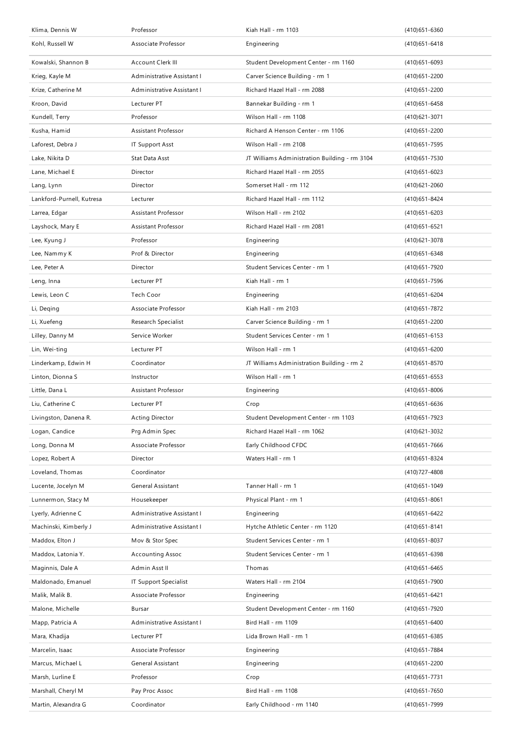| Klima, Dennis W           | Professor                  | Kiah Hall - rm 1103                           | $(410)651 - 6360$ |
|---------------------------|----------------------------|-----------------------------------------------|-------------------|
| Kohl, Russell W           | Associate Professor        | Engineering                                   | $(410)651 - 6418$ |
| Kowalski, Shannon B       | Account Clerk III          | Student Development Center - rm 1160          | $(410)651 - 6093$ |
| Krieg, Kayle M            | Administrative Assistant I | Carver Science Building - rm 1                | (410) 651 - 2200  |
| Krize, Catherine M        | Administrative Assistant I | Richard Hazel Hall - rm 2088                  | (410) 651 - 2200  |
| Kroon, David              | Lecturer PT                | Bannekar Building - rm 1                      | $(410)651 - 6458$ |
| Kundell, Terry            | Professor                  | Wilson Hall - rm 1108                         | (410) 621 - 3071  |
| Kusha, Hamid              | Assistant Professor        | Richard A Henson Center - rm 1106             | $(410)651 - 2200$ |
| Laforest. Debra J         | <b>IT Support Asst</b>     | Wilson Hall - rm 2108                         | (410) 651 - 7595  |
| Lake, Nikita D            | Stat Data Asst             | JT Williams Administration Building - rm 3104 | (410) 651 - 7530  |
| Lane, Michael E           | Director                   | Richard Hazel Hall - rm 2055                  | $(410)651 - 6023$ |
| Lang, Lynn                | Director                   | Somerset Hall - rm 112                        | $(410)621 - 2060$ |
| Lankford-Purnell, Kutresa | Lecturer                   | Richard Hazel Hall - rm 1112                  | (410) 651 - 8424  |
| Larrea, Edgar             | Assistant Professor        | Wilson Hall - rm 2102                         | $(410)651 - 6203$ |
| Layshock, Mary E          | Assistant Professor        | Richard Hazel Hall - rm 2081                  | (410) 651 - 6521  |
| Lee, Kyung J              | Professor                  | Engineering                                   | (410) 621 - 3078  |
| Lee, Nammy K              | Prof & Director            | Engineering                                   | $(410)651 - 6348$ |
| Lee, Peter A              | Director                   | Student Services Center - rm 1                | (410) 651 - 7920  |
| Leng, Inna                | Lecturer PT                | Kiah Hall - rm 1                              | (410) 651 - 7596  |
| Lewis, Leon C             | Tech Coor                  | Engineering                                   | (410) 651 - 6204  |
| Li, Deging                | Associate Professor        | Kiah Hall - rm 2103                           | (410) 651 - 7872  |
| Li, Xuefeng               | Research Specialist        | Carver Science Building - rm 1                | $(410)651 - 2200$ |
| Lilley, Danny M           | Service Worker             | Student Services Center - rm 1                | $(410)651 - 6153$ |
| Lin, Wei-ting             | Lecturer PT                | Wilson Hall - rm 1                            | $(410)651 - 6200$ |
| Linderkamp, Edwin H       | Coordinator                | JT Williams Administration Building - rm 2    | (410) 651-8570    |
| Linton, Dionna S          | Instructor                 | Wilson Hall - rm 1                            | (410) 651-6553    |
| Little, Dana L            | Assistant Professor        | Engineering                                   | $(410)651 - 8006$ |
| Liu, Catherine C          | Lecturer PT                | Crop                                          | $(410)651 - 6636$ |
| Livingston, Danena R.     | Acting Director            | Student Development Center - rm 1103          | (410) 651 - 7923  |
| Logan, Candice            | Prg Admin Spec             | Richard Hazel Hall - rm 1062                  | (410) 621 - 3032  |
| Long, Donna M             | Associate Professor        | Early Childhood CFDC                          | $(410)651 - 7666$ |
| Lopez, Robert A           | Director                   | Waters Hall - rm 1                            | (410) 651 - 8324  |
| Loveland, Thomas          | Coordinator                |                                               | (410) 727-4808    |
| Lucente, Jocelyn M        | General Assistant          | Tanner Hall - rm 1                            | (410) 651 - 1049  |
| Lunnermon, Stacy M        | Housekeeper                | Physical Plant - rm 1                         | $(410)651 - 8061$ |
| Lyerly, Adrienne C        | Administrative Assistant I | Engineering                                   | (410) 651 - 6422  |
| Machinski, Kimberly J     | Administrative Assistant I | Hytche Athletic Center - rm 1120              | (410) 651 - 8141  |
| Maddox, Elton J           | Mov & Stor Spec            | Student Services Center - rm 1                | (410) 651-8037    |
| Maddox, Latonia Y.        | <b>Accounting Assoc</b>    | Student Services Center - rm 1                | (410) 651-6398    |
| Maginnis, Dale A          | Admin Asst II              | Thomas                                        | (410) 651 - 6465  |
| Maldonado, Emanuel        | IT Support Specialist      | Waters Hall - rm 2104                         | (410) 651 - 7900  |
| Malik, Malik B.           | Associate Professor        | Engineering                                   | (410) 651-6421    |
| Malone, Michelle          | Bursar                     | Student Development Center - rm 1160          | (410) 651 - 7920  |
| Mapp, Patricia A          | Administrative Assistant I | Bird Hall - rm 1109                           | $(410)651 - 6400$ |
| Mara, Khadija             | Lecturer PT                | Lida Brown Hall - rm 1                        | (410) 651-6385    |
| Marcelin, Isaac           | Associate Professor        | Engineering                                   | (410) 651 - 7884  |
| Marcus, Michael L         | General Assistant          | Engineering                                   | (410) 651 - 2200  |
| Marsh, Lurline E          | Professor                  | Crop                                          | (410) 651 - 7731  |
| Marshall, Cheryl M        | Pay Proc Assoc             | Bird Hall - rm 1108                           | (410) 651 - 7650  |
| Martin, Alexandra G       | Coordinator                | Early Childhood - rm 1140                     | (410) 651 - 7999  |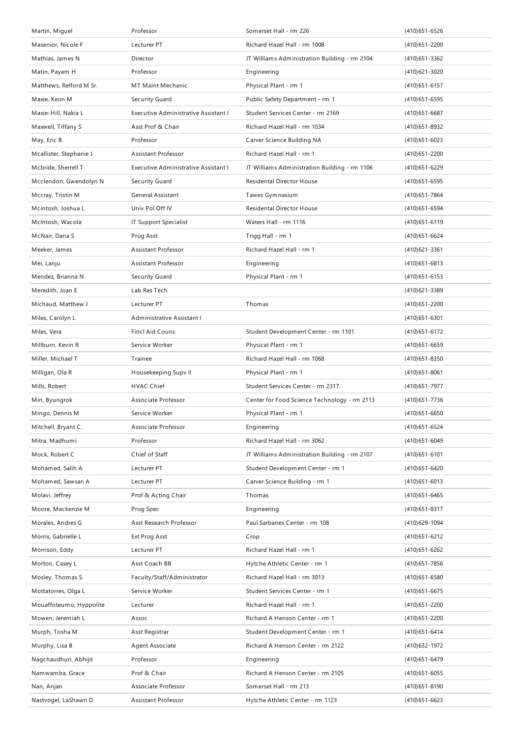| Martin, Miguel                               | Professor                                     | Somerset Hall - rm 226                                                 | $(410)651 - 6526$                     |
|----------------------------------------------|-----------------------------------------------|------------------------------------------------------------------------|---------------------------------------|
| Masenior, Nicole F                           | Lecturer PT                                   | Richard Hazel Hall - rm 1008                                           | (410) 651 - 2200                      |
| Mathias, James N                             | Director                                      | JT Williams Administration Building - rm 2104                          | (410) 651 - 3362                      |
| Matin, Payam H                               | Professor                                     | Engineering                                                            | $(410)621 - 3020$                     |
| Matthews, Relford M Sr.                      | <b>MT Maint Mechanic</b>                      | Physical Plant - rm 1                                                  | $(410)651 - 6157$                     |
| Maxie, Keon M                                | Security Guard                                | Public Safety Department - rm 1                                        | $(410)651 - 6595$                     |
| Maxie-Hill, Nakia L                          | Executive Administrative Assistant I          | Student Services Center - rm 2169                                      | $(410)651 - 6687$                     |
| Maxwell, Tiffany S                           | Asst Prof & Chair                             | Richard Hazel Hall - rm 1034                                           | (410) 651 - 8932                      |
| May, Eric B.                                 | Professor                                     | Carver Science Building NA                                             | $(410)651 - 6023$                     |
| Mcallister, Stephanie J                      | Assistant Professor                           | Richard Hazel Hall - rm 1                                              | (410) 651 - 2200                      |
| Mcbride, Sherrell T                          | Executive Administrative Assistant I          | JT Williams Administration Building - rm 1106                          | (410) 651 - 6229                      |
| Mcclendon, Gwendolyn N                       | Security Guard                                | Residental Director House                                              | $(410)651 - 6595$                     |
| Mccray, Tristin M                            | General Assistant                             | Tawes Gymnasium                                                        | (410) 651 - 7864                      |
| Mcintosh, Joshua L                           | Univ Pol Off IV                               | <b>Residental Director House</b>                                       | (410) 651 - 6594                      |
| McIntosh, Wacola                             | IT Support Specialist                         | Waters Hall - rm 1116                                                  | $(410)651 - 6119$                     |
| McNair, Dana S                               | Prog Asst                                     | Trigg Hall - rm 1                                                      | (410) 651-6624                        |
| Meeker, James                                | <b>Assistant Professor</b>                    | Richard Hazel Hall - rm 1                                              | (410) 621 - 3361                      |
| Mei, Lanju                                   | Assistant Professor                           | Engineering                                                            | $(410)651 - 6813$                     |
| Mendez, Brianna N                            | Security Guard                                | Physical Plant - rm 1                                                  | $(410)651 - 6153$                     |
| Meredith, Joan E                             | Lab Res Tech                                  |                                                                        | (410) 621 - 3389                      |
| Michaud, Matthew J                           | Lecturer PT                                   | Thomas                                                                 | (410) 651 - 2200                      |
| Miles, Carolyn L                             | Administrative Assistant I                    |                                                                        | $(410)651 - 6301$                     |
| Miles, Vera                                  | <b>Fincl Aid Couns</b>                        | Student Development Center - rm 1101                                   | (410) 651 - 6172                      |
| Millburn, Kevin R                            | Service Worker                                | Physical Plant - rm 1                                                  | $(410)651 - 6659$                     |
|                                              |                                               |                                                                        | (410) 651 - 8350                      |
| Miller, Michael T                            | Trainee                                       | Richard Hazel Hall - rm 1068                                           |                                       |
| Milligan, Ola R                              | Housekeeping Supv II                          | Physical Plant - rm 1                                                  | $(410)651 - 8061$                     |
| Mills, Robert                                | <b>HVAC Chief</b>                             | Student Services Center - rm 2317                                      | (410) 651 - 7977                      |
| Min, Byungrok                                | Associate Professor                           | Center for Food Science Technology - rm 2113                           | (410) 651 - 7736                      |
| Mingo, Dennis M                              | Service Worker                                | Physical Plant - rm 1                                                  | $(410)651 - 6650$                     |
| Mitchell, Bryant C.                          | Associate Professor                           | Engineering                                                            | (410) 651-6524                        |
| Mitra, Madhumi                               | Professor                                     | Richard Hazel Hall - rm 3062                                           | $(410)651 - 6049$                     |
| Mock, Robert C                               | Chief of Staff                                | JT Williams Administration Building - rm 2107                          | $(410)651 - 6101$                     |
| Mohamed, Salih A                             | Lecturer PT                                   | Student Development Center - rm 1                                      | (410) 651 - 6420                      |
| Mohamed, Sawsan A                            | Lecturer PT                                   | Carver Science Building - rm 1                                         | $(410)651 - 6013$                     |
| Molavi, Jeffrey                              | Prof & Acting Chair                           | Thomas                                                                 | (410) 651 - 6465                      |
| Moore, Mackenzie M                           | Prog Spec                                     | Engineering                                                            | (410) 651 - 8317                      |
| Morales, Andres G                            | Asst Research Professor                       | Paul Sarbanes Center - rm 108                                          | (410) 629-1094                        |
| Morris, Gabrielle L                          | Ext Prog Asst                                 | Crop                                                                   | (410) 651 - 6212                      |
| Morrison, Eddy                               | Lecturer PT                                   | Richard Hazel Hall - rm 1                                              | (410) 651 - 6262                      |
| Morton, Casey L                              | Asst Coach BB                                 | Hytche Athletic Center - rm 1                                          | (410) 651 - 7856                      |
|                                              |                                               | Richard Hazel Hall - rm 3013                                           | $(410)651 - 6580$                     |
| Mosley, Thomas S.                            | Faculty/Staff/Administrator<br>Service Worker |                                                                        |                                       |
| Mottatorres, Olga L                          | Lecturer                                      | Student Services Center - rm 1<br>Richard Hazel Hall - rm 1            | $(410)651 - 6675$<br>(410) 651 - 2200 |
| Mouaffoteumo, Hyppolite<br>Mowen, Jeremiah L | Assoc                                         | Richard A Henson Center - rm 1                                         | (410) 651 - 2200                      |
| Murph, Tosha M                               |                                               |                                                                        |                                       |
| Murphy, Lisa B                               | Asst Registrar<br>Agent Associate             | Student Development Center - rm 1<br>Richard A Henson Center - rm 2122 | (410) 651 - 6414<br>(410) 632 - 1972  |
| Nagchaudhuri, Abhijit                        | Professor                                     | Engineering                                                            | (410) 651 - 6479                      |
| Namwamba, Grace                              | Prof & Chair                                  | Richard A Henson Center - rm 2105                                      | $(410)651 - 6055$                     |
| Nan, Anjan                                   | Associate Professor                           | Somerset Hall - rm 213                                                 | (410) 651 - 8190                      |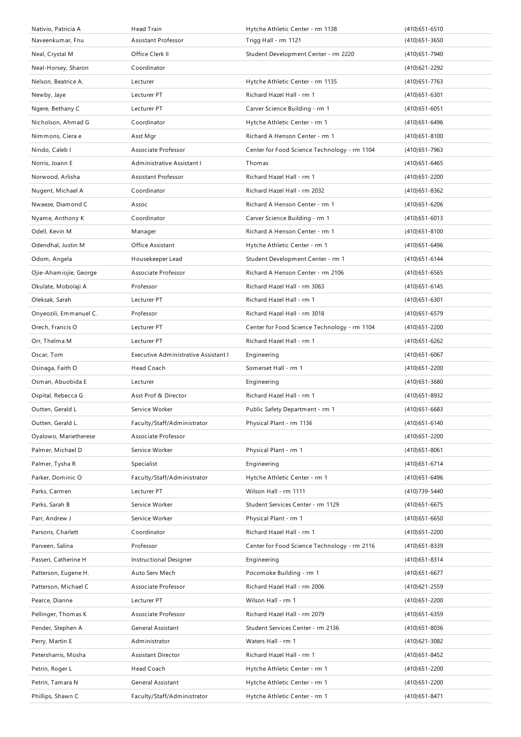| Nativio, Patricia A                   | <b>Head Train</b>                                | Hytche Athletic Center - rm 1138                               | $(410)651 - 6510$                  |
|---------------------------------------|--------------------------------------------------|----------------------------------------------------------------|------------------------------------|
| Naveenkumar, Fnu                      | Assistant Professor                              | Trigg Hall - rm 1121                                           | $(410)651 - 3650$                  |
| Neal, Crystal M                       | Office Clerk II                                  | Student Development Center - rm 2220                           | (410) 651 - 7940                   |
| Neal-Horsey, Sharon                   | Coordinator                                      |                                                                | (410) 621 - 2292                   |
| Nelson, Beatrice A.                   | Lecturer                                         | Hytche Athletic Center - rm 1135                               | (410) 651 - 7763                   |
| Newby, Jaye                           | Lecturer PT                                      | Richard Hazel Hall - rm 1                                      | $(410)651 - 6301$                  |
| Ngere, Bethany C                      | Lecturer PT                                      | Carver Science Building - rm 1                                 | $(410)651 - 6051$                  |
| Nicholson, Ahmad G                    | Coordinator                                      | Hytche Athletic Center - rm 1                                  | (410) 651-6496                     |
| Nimmons, Ciera e                      | Asst Mgr                                         | Richard A Henson Center - rm 1                                 | $(410)651 - 8100$                  |
| Nindo, Caleb I                        | Associate Professor                              | Center for Food Science Technology - rm 1104                   | (410) 651 - 7963                   |
| Norris, Joann E                       | Administrative Assistant I                       | Thomas                                                         | $(410)651 - 6465$                  |
| Norwood, Arlisha                      | Assistant Professor                              | Richard Hazel Hall - rm 1                                      | $(410)651 - 2200$                  |
| Nugent, Michael A                     | Coordinator                                      | Richard Hazel Hall - rm 2032                                   | (410) 651 - 8362                   |
| Nwaeze, Diamond C                     | Assoc                                            | Richard A Henson Center - rm 1                                 | (410) 651-6206                     |
| Nyame, Anthony K                      | Coordinator                                      | Carver Science Building - rm 1                                 | $(410)651 - 6013$                  |
| Odell, Kevin M                        | Manager                                          | Richard A Henson Center - rm 1                                 | $(410)651 - 8100$                  |
| Odendhal, Justin M                    | <b>Office Assistant</b>                          | Hytche Athletic Center - rm 1                                  | (410) 651 - 6496                   |
| Odom, Angela                          | Housekeeper Lead                                 | Student Development Center - rm 1                              | $(410)651 - 6144$                  |
| Ojie-Ahamiojie, George                | Associate Professor                              | Richard A Henson Center - rm 2106                              | $(410)651 - 6565$                  |
| Okulate, Mobolaji A                   | Professor                                        | Richard Hazel Hall - rm 3063                                   | $(410)651 - 6145$                  |
| Oleksak, Sarah                        | Lecturer PT                                      | Richard Hazel Hall - rm 1                                      |                                    |
|                                       |                                                  |                                                                | $(410)651 - 6301$                  |
| Onyeozili, Emmanuel C.                | Professor                                        | Richard Hazel Hall - rm 3018                                   | $(410)651 - 6579$                  |
| Orech, Francis O                      | Lecturer PT                                      | Center for Food Science Technology - rm 1104                   | (410) 651 - 2200                   |
| Orr, Thelma M                         | Lecturer PT                                      | Richard Hazel Hall - rm 1                                      | $(410)651 - 6262$                  |
| Oscar, Tom                            | Executive Administrative Assistant I             | Engineering                                                    | $(410)651 - 6067$                  |
|                                       |                                                  |                                                                |                                    |
| Osinaga, Faith O                      | Head Coach                                       | Somerset Hall - rm 1                                           | (410) 651 - 2200                   |
| Osman, Abuobida E                     | Lecturer                                         | Engineering                                                    | $(410)651 - 3680$                  |
| Ospital, Rebecca G                    | Asst Prof & Director                             | Richard Hazel Hall - rm 1                                      | (410) 651-8932                     |
| Outten, Gerald L                      | Service Worker                                   | Public Safety Department - rm 1                                | $(410)651 - 6683$                  |
| Outten, Gerald L.                     | Faculty/Staff/Administrator                      | Physical Plant - rm 1136                                       | $(410)651 - 6140$                  |
| Oyalowo, Marietherese                 | Associate Professor                              |                                                                | $(410)651 - 2200$                  |
| Palmer, Michael D                     | Service Worker                                   | Physical Plant - rm 1                                          | $(410)651 - 8061$                  |
| Palmer, Tysha R                       | Specialist                                       | Engineering                                                    | (410) 651 - 6714                   |
| Parker, Dominic O                     | Faculty/Staff/Administrator                      | Hytche Athletic Center - rm 1                                  | (410) 651 - 6496                   |
| Parks, Carmen                         | Lecturer PT                                      | Wilson Hall - rm 1111                                          | (410) 739-5440                     |
| Parks, Sarah B                        | Service Worker                                   | Student Services Center - rm 1129                              | $(410)651 - 6675$                  |
| Parr, Andrew J                        | Service Worker                                   | Physical Plant - rm 1                                          | $(410)651 - 6650$                  |
| Parsons, Charlett                     | Coordinator                                      | Richard Hazel Hall - rm 1                                      | (410) 651 - 2200                   |
| Parveen, Salina                       | Professor                                        | Center for Food Science Technology - rm 2116                   | (410) 651 - 8339                   |
| Passeri, Catherine H                  | <b>Instructional Designer</b>                    | Engineering                                                    | $(410)651 - 8314$                  |
| Patterson, Eugene H.                  | Auto Serv Mech                                   | Pocomoke Building - rm 1                                       | $(410)651 - 6677$                  |
| Patterson, Michael C                  | Associate Professor                              | Richard Hazel Hall - rm 2006                                   | $(410)621 - 2559$                  |
| Pearce, Dianne                        | Lecturer PT                                      | Wilson Hall - rm 1                                             | (410) 651 - 2200                   |
| Pellinger, Thomas K                   | Associate Professor                              | Richard Hazel Hall - rm 2079                                   |                                    |
|                                       |                                                  |                                                                | (410) 651 - 6359                   |
| Pender, Stephen A                     | General Assistant                                | Student Services Center - rm 2136                              | $(410)651 - 8036$                  |
| Perry, Martin E                       | Administrator                                    | Waters Hall - rm 1                                             | (410) 621 - 3082                   |
| Petersharris, Mosha                   | Assistant Director                               | Richard Hazel Hall - rm 1                                      | (410) 651 - 8452                   |
| Petrin, Roger L                       | Head Coach                                       | Hytche Athletic Center - rm 1                                  | (410) 651 - 2200                   |
| Petrin, Tamara N<br>Phillips, Shawn C | General Assistant<br>Faculty/Staff/Administrator | Hytche Athletic Center - rm 1<br>Hytche Athletic Center - rm 1 | (410) 651 - 2200<br>(410) 651-8471 |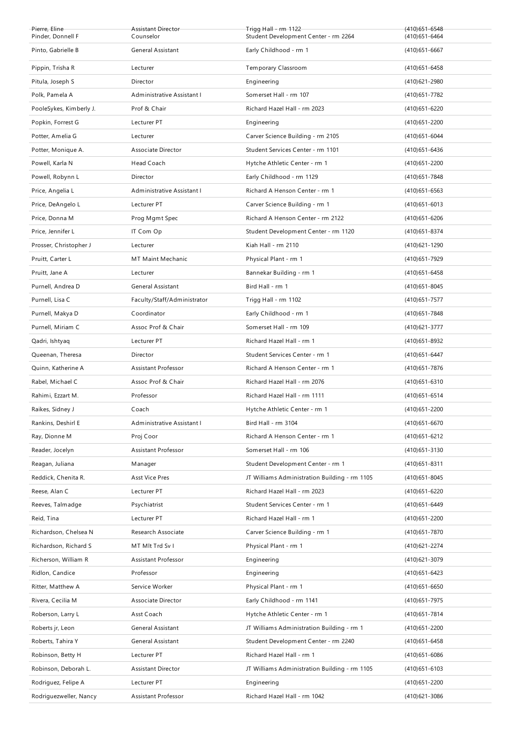| Pierre, Eline<br>Pinder, Donnell F            | Assistant Director<br>Counselor    | Trigg Hall - rm 1122<br>Student Development Center - rm 2264                | $(410)651 - 6548$<br>$(410)651 - 6464$ |
|-----------------------------------------------|------------------------------------|-----------------------------------------------------------------------------|----------------------------------------|
| Pinto, Gabrielle B                            | General Assistant                  | Early Childhood - rm 1                                                      | $(410)651 - 6667$                      |
|                                               |                                    |                                                                             |                                        |
| Pippin, Trisha R                              | Lecturer                           | Temporary Classroom                                                         | $(410)651 - 6458$                      |
| Pitula, Joseph S                              | Director                           | Engineering                                                                 | (410) 621 - 2980                       |
| Polk, Pamela A                                | Administrative Assistant I         | Somerset Hall - rm 107                                                      | (410) 651 - 7782                       |
| PooleSykes, Kimberly J.                       | Prof & Chair                       | Richard Hazel Hall - rm 2023                                                | (410) 651 - 6220                       |
| Popkin, Forrest G                             | Lecturer PT                        | Engineering                                                                 | (410) 651 - 2200                       |
| Potter, Amelia G                              | Lecturer                           | Carver Science Building - rm 2105                                           | $(410)651 - 6044$                      |
| Potter, Monique A.                            | Associate Director                 | Student Services Center - rm 1101                                           | $(410)651 - 6436$                      |
| Powell, Karla N                               | Head Coach                         | Hytche Athletic Center - rm 1                                               | (410) 651 - 2200                       |
| Powell, Robynn L                              | Director                           | Early Childhood - rm 1129                                                   | (410) 651 - 7848                       |
| Price, Angelia L                              | Administrative Assistant I         | Richard A Henson Center - rm 1                                              | $(410)651 - 6563$                      |
| Price, DeAngelo L                             | Lecturer PT                        | Carver Science Building - rm 1                                              | $(410)651 - 6013$                      |
| Price, Donna M                                | Prog Mgmt Spec                     | Richard A Henson Center - rm 2122                                           | (410) 651 - 6206                       |
| Price, Jennifer L                             | IT Com Op                          | Student Development Center - rm 1120                                        | (410) 651-8374                         |
| Prosser, Christopher J                        | Lecturer                           | Kiah Hall - rm 2110                                                         | (410) 621 - 1290                       |
| Pruitt, Carter L                              | <b>MT Maint Mechanic</b>           | Physical Plant - rm 1                                                       | (410) 651 - 7929                       |
| Pruitt, Jane A                                | Lecturer                           | Bannekar Building - rm 1                                                    | $(410)651 - 6458$                      |
| Purnell, Andrea D                             | General Assistant                  | Bird Hall - rm 1                                                            | $(410)651 - 8045$                      |
| Purnell, Lisa C                               | Faculty/Staff/Administrator        | Trigg Hall - rm 1102                                                        | (410) 651 - 7577                       |
| Purnell, Makya D                              | Coordinator                        | Early Childhood - rm 1                                                      | (410) 651 - 7848                       |
| Purnell, Miriam C                             | Assoc Prof & Chair                 | Somerset Hall - rm 109                                                      | (410) 621-3777                         |
| Qadri, Ishtyaq                                | Lecturer PT                        | Richard Hazel Hall - rm 1                                                   | (410) 651-8932                         |
| Queenan, Theresa                              | Director                           | Student Services Center - rm 1                                              | $(410)651 - 6447$                      |
|                                               |                                    |                                                                             |                                        |
| Quinn, Katherine A                            | Assistant Professor                | Richard A Henson Center - rm 1                                              | (410) 651 - 7876                       |
| Rabel, Michael C                              | Assoc Prof & Chair                 | Richard Hazel Hall - rm 2076                                                | $(410)651 - 6310$                      |
| Rahimi, Ezzart M.                             | Professor                          | Richard Hazel Hall - rm 1111                                                | $(410)651 - 6514$                      |
| Raikes, Sidney J                              | Coach                              | Hytche Athletic Center - rm 1                                               | $(410)651 - 2200$                      |
| Rankins, Deshirl E                            | Administrative Assistant I         | Bird Hall - rm 3104                                                         | $(410)651 - 6670$                      |
| Ray, Dionne M                                 | Proj Coor                          | Richard A Henson Center - rm 1                                              | (410) 651 - 6212                       |
| Reader, Jocelyn                               | Assistant Professor                | Somerset Hall - rm 106                                                      | (410) 651 - 3130                       |
| Reagan, Juliana                               | Manager                            | Student Development Center - rm 1                                           | $(410)651 - 8311$                      |
| Reddick, Chenita R.                           | <b>Asst Vice Pres</b>              | JT Williams Administration Building - rm 1105                               | (410) 651-8045                         |
| Reese, Alan C                                 | Lecturer PT                        | Richard Hazel Hall - rm 2023                                                | $(410)651 - 6220$                      |
| Reeves, Talmadge                              | Psychiatrist                       | Student Services Center - rm 1                                              | (410) 651-6449                         |
| Reid, Tina                                    | Lecturer PT                        | Richard Hazel Hall - rm 1                                                   | (410) 651 - 2200                       |
| Richardson, Chelsea N                         | Research Associate                 | Carver Science Building - rm 1                                              | (410) 651 - 7870                       |
| Richardson, Richard S                         | MT MIt Trd Sv I                    | Physical Plant - rm 1                                                       | (410) 621 - 2274                       |
| Richerson, William R                          | Assistant Professor                | Engineering                                                                 | (410) 621 - 3079                       |
| Ridlon, Candice                               | Professor                          | Engineering                                                                 | (410) 651 - 6423                       |
|                                               |                                    |                                                                             |                                        |
| Ritter, Matthew A                             | Service Worker                     | Physical Plant - rm 1                                                       | $(410)651 - 6650$                      |
| Rivera, Cecilia M                             | Associate Director                 | Early Childhood - rm 1141                                                   | (410) 651 - 7975                       |
| Roberson, Larry L<br>Roberts jr, Leon         | Asst Coach<br>General Assistant    | Hytche Athletic Center - rm 1<br>JT Williams Administration Building - rm 1 | (410) 651 - 7814                       |
|                                               |                                    |                                                                             | (410) 651 - 2200                       |
| Roberts, Tahira Y                             | General Assistant                  | Student Development Center - rm 2240                                        | (410) 651-6458                         |
| Robinson, Betty H                             | Lecturer PT                        | Richard Hazel Hall - rm 1                                                   | $(410)651 - 6086$                      |
| Robinson, Deborah L.                          | <b>Assistant Director</b>          | JT Williams Administration Building - rm 1105                               | $(410)651 - 6103$                      |
| Rodriguez, Felipe A<br>Rodriguezweller, Nancy | Lecturer PT<br>Assistant Professor | Engineering<br>Richard Hazel Hall - rm 1042                                 | (410) 651 - 2200<br>(410) 621 - 3086   |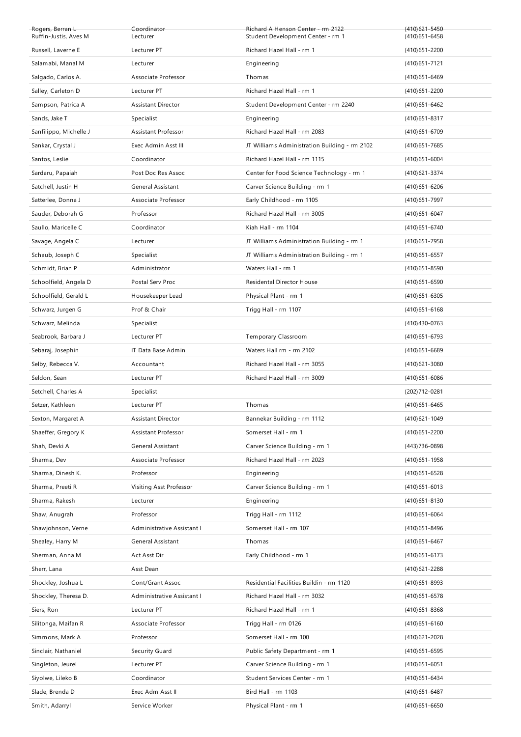| Rogers, Berran L<br>Ruffin-Justis, Aves M | Coordinator<br>Lecturer    | Richard A Henson Center - rm 2122<br>Student Development Center - rm 1 | (410) 621 - 5450<br>$(410)651 - 6458$ |
|-------------------------------------------|----------------------------|------------------------------------------------------------------------|---------------------------------------|
| Russell, Laverne E                        | Lecturer PT                | Richard Hazel Hall - rm 1                                              | $(410)651 - 2200$                     |
| Salamabi, Manal M                         | Lecturer                   | Engineering                                                            | $(410)651 - 7121$                     |
| Salgado, Carlos A.                        | Associate Professor        | Thomas                                                                 | $(410)651 - 6469$                     |
| Salley, Carleton D                        | Lecturer PT                | Richard Hazel Hall - rm 1                                              | $(410)651 - 2200$                     |
| Sampson, Patrica A                        | <b>Assistant Director</b>  | Student Development Center - rm 2240                                   | $(410)651 - 6462$                     |
| Sands, Jake T                             | Specialist                 | Engineering                                                            | (410) 651-8317                        |
| Sanfilippo, Michelle J                    | <b>Assistant Professor</b> | Richard Hazel Hall - rm 2083                                           | $(410)651 - 6709$                     |
| Sankar, Crystal J                         | Exec Admin Asst III        | JT Williams Administration Building - rm 2102                          | (410) 651 - 7685                      |
| Santos, Leslie                            | Coordinator                | Richard Hazel Hall - rm 1115                                           | $(410)651 - 6004$                     |
| Sardaru, Papaiah                          | Post Doc Res Assoc         | Center for Food Science Technology - rm 1                              | (410) 621 - 3374                      |
| Satchell, Justin H                        | <b>General Assistant</b>   | Carver Science Building - rm 1                                         | $(410)651 - 6206$                     |
| Satterlee, Donna J                        | Associate Professor        | Early Childhood - rm 1105                                              | (410) 651 - 7997                      |
| Sauder, Deborah G                         | Professor                  | Richard Hazel Hall - rm 3005                                           | $(410)651 - 6047$                     |
| Saullo, Maricelle C                       | Coordinator                | Kiah Hall - rm 1104                                                    | $(410)651 - 6740$                     |
| Savage, Angela C                          | Lecturer                   | JT Williams Administration Building - rm 1                             | (410) 651 - 7958                      |
| Schaub, Joseph C                          | Specialist                 | JT Williams Administration Building - rm 1                             | $(410)651 - 6557$                     |
| Schmidt, Brian P                          | Administrator              | Waters Hall - rm 1                                                     | $(410)651 - 8590$                     |
| Schoolfield, Angela D                     | Postal Serv Proc           | Residental Director House                                              | $(410)651 - 6590$                     |
| Schoolfield, Gerald L                     | Housekeeper Lead           | Physical Plant - rm 1                                                  | $(410)651 - 6305$                     |
| Schwarz, Jurgen G                         | Prof & Chair               | Trigg Hall - rm 1107                                                   | $(410)651 - 6168$                     |
| Schwarz, Melinda                          | Specialist                 |                                                                        | (410) 430 - 0763                      |
| Seabrook, Barbara J                       | Lecturer PT                | Temporary Classroom                                                    | (410) 651-6793                        |
| Sebaraj, Josephin                         | IT Data Base Admin         | Waters Hall rm - rm 2102                                               | $(410)651 - 6689$                     |
| Selby, Rebecca V.                         | Accountant                 | Richard Hazel Hall - rm 3055                                           | $(410)621 - 3080$                     |
| Seldon, Sean                              | Lecturer PT                | Richard Hazel Hall - rm 3009                                           | $(410)651 - 6086$                     |
| Setchell, Charles A                       | Specialist                 |                                                                        | (202) 712-0281                        |
| Setzer, Kathleen                          | Lecturer PT                | Thomas                                                                 | $(410)651 - 6465$                     |
| Sexton, Margaret A                        | Assistant Director         | Bannekar Building - rm 1112                                            | (410) 621 - 1049                      |
| Shaeffer, Gregory K                       | Assistant Professor        | Somerset Hall - rm 1                                                   | (410) 651 - 2200                      |
| Shah, Devki A                             | General Assistant          | Carver Science Building - rm 1                                         | (443) 736-0898                        |
| Sharma, Dev                               | Associate Professor        | Richard Hazel Hall - rm 2023                                           | (410) 651 - 1958                      |
| Sharma, Dinesh K.                         | Professor                  | Engineering                                                            | $(410)651 - 6528$                     |
| Sharma, Preeti R                          | Visiting Asst Professor    | Carver Science Building - rm 1                                         | $(410)651 - 6013$                     |
| Sharma, Rakesh                            | Lecturer                   | Engineering                                                            | (410) 651-8130                        |
| Shaw, Anugrah                             | Professor                  | Trigg Hall - rm 1112                                                   | $(410)651 - 6064$                     |
| Shawjohnson, Verne                        | Administrative Assistant I | Somerset Hall - rm 107                                                 | (410) 651 - 8496                      |
| Shealey, Harry M                          | General Assistant          | Thomas                                                                 | (410) 651-6467                        |
| Sherman, Anna M                           | Act Asst Dir               | Early Childhood - rm 1                                                 | (410) 651 - 6173                      |
| Sherr, Lana                               | Asst Dean                  |                                                                        | (410) 621 - 2288                      |
| Shockley, Joshua L                        | Cont/Grant Assoc           | Residential Facilities Buildin - rm 1120                               | (410) 651-8993                        |
| Shockley, Theresa D.                      | Administrative Assistant I | Richard Hazel Hall - rm 3032                                           | (410) 651-6578                        |
| Siers, Ron                                | Lecturer PT                | Richard Hazel Hall - rm 1                                              | $(410)651 - 8368$                     |
| Silitonga, Maifan R                       | Associate Professor        | Trigg Hall - rm 0126                                                   | $(410)651 - 6160$                     |
| Simmons, Mark A                           | Professor                  | Somerset Hall - rm 100                                                 | (410) 621 - 2028                      |
| Sinclair, Nathaniel                       | Security Guard             | Public Safety Department - rm 1                                        | (410) 651-6595                        |
| Singleton, Jeurel                         | Lecturer PT                | Carver Science Building - rm 1                                         | $(410)651 - 6051$                     |
| Siyolwe, Lileko B                         | Coordinator                | Student Services Center - rm 1                                         | (410) 651-6434                        |
| Slade, Brenda D                           | Exec Adm Asst II           | Bird Hall - rm 1103                                                    | (410) 651-6487                        |
| Smith, Adarryl                            | Service Worker             | Physical Plant - rm 1                                                  | $(410)651 - 6650$                     |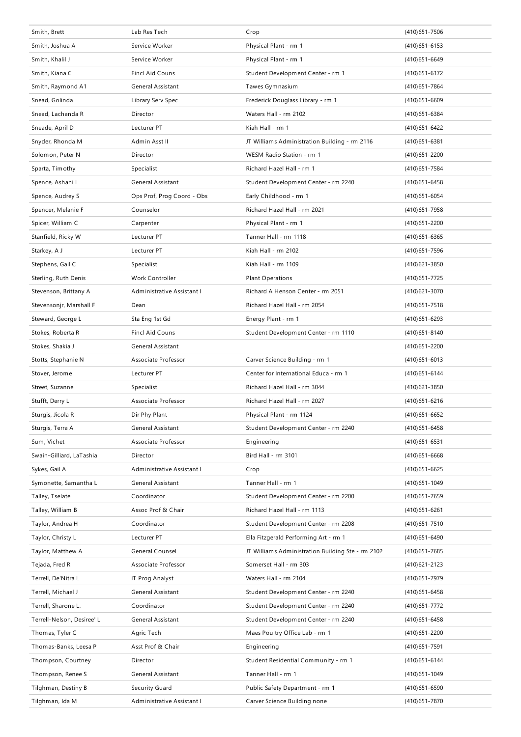| Smith, Brett               | Lab Res Tech               | Crop                                              | $(410)651 - 7506$ |
|----------------------------|----------------------------|---------------------------------------------------|-------------------|
| Smith, Joshua A            | Service Worker             | Physical Plant - rm 1                             | $(410)651 - 6153$ |
| Smith, Khalil J            | Service Worker             | Physical Plant - rm 1                             | $(410)651 - 6649$ |
| Smith, Kiana C             | <b>Fincl Aid Couns</b>     | Student Development Center - rm 1                 | (410) 651 - 6172  |
| Smith, Raymond A1          | General Assistant          | Tawes Gymnasium                                   | (410) 651 - 7864  |
| Snead, Golinda             | Library Serv Spec          | Frederick Douglass Library - rm 1                 | $(410)651 - 6609$ |
| Snead, Lachanda R          | Director                   | Waters Hall - rm 2102                             | (410) 651 - 6384  |
| Sneade, April D            | Lecturer PT                | Kiah Hall - rm 1                                  | (410) 651 - 6422  |
| Snyder, Rhonda M           | Admin Asst II              | JT Williams Administration Building - rm 2116     | $(410)651 - 6381$ |
| Solomon, Peter N           | Director                   | WESM Radio Station - rm 1                         | $(410)651 - 2200$ |
| Sparta, Timothy            | Specialist                 | Richard Hazel Hall - rm 1                         | (410) 651 - 7584  |
| Spence, Ashani I           | General Assistant          | Student Development Center - rm 2240              | $(410)651 - 6458$ |
| Spence, Audrey S           | Ops Prof, Prog Coord - Obs | Early Childhood - rm 1                            | $(410)651 - 6054$ |
| Spencer, Melanie F         | Counselor                  | Richard Hazel Hall - rm 2021                      | (410) 651 - 7958  |
| Spicer, William C          | Carpenter                  | Physical Plant - rm 1                             | $(410)651 - 2200$ |
| Stanfield, Ricky W         | Lecturer PT                | Tanner Hall - rm 1118                             | $(410)651 - 6365$ |
| Starkey, A J               | Lecturer PT                | Kiah Hall - rm 2102                               | (410) 651 - 7596  |
| Stephens, Gail C           | Specialist                 | Kiah Hall - rm 1109                               | $(410)621 - 3850$ |
| Sterling, Ruth Denis       | Work Controller            | <b>Plant Operations</b>                           | (410) 651 - 7725  |
| Stevenson, Brittany A      | Administrative Assistant I | Richard A Henson Center - rm 2051                 | $(410)621 - 3070$ |
| Stevensonjr, Marshall F    | Dean                       | Richard Hazel Hall - rm 2054                      | (410) 651 - 7518  |
| Steward, George L          | Sta Eng 1st Gd             | Energy Plant - rm 1                               | $(410)651 - 6293$ |
| Stokes, Roberta R          | <b>Fincl Aid Couns</b>     | Student Development Center - rm 1110              | (410) 651 - 8140  |
| Stokes, Shakia J           | General Assistant          |                                                   | (410) 651 - 2200  |
| Stotts, Stephanie N        | Associate Professor        | Carver Science Building - rm 1                    | $(410)651 - 6013$ |
| Stover, Jerome             | Lecturer PT                | Center for International Educa - rm 1             | $(410)651 - 6144$ |
| Street, Suzanne            | Specialist                 | Richard Hazel Hall - rm 3044                      | (410) 621 - 3850  |
| Stufft, Derry L            | Associate Professor        | Richard Hazel Hall - rm 2027                      | $(410)651 - 6216$ |
| Sturgis, Jicola R          | Dir Phy Plant              | Physical Plant - rm 1124                          | $(410)651 - 6652$ |
| Sturgis, Terra A           | General Assistant          | Student Development Center - rm 2240              | $(410)651 - 6458$ |
| Sum, Vichet                | Associate Professor        | Engineering                                       | $(410)651 - 6531$ |
| Swain-Gilliard, LaTashia   | Director                   | Bird Hall - rm 3101                               | $(410)651 - 6668$ |
| Sykes, Gail A              | Administrative Assistant I | Crop                                              | (410) 651 - 6625  |
| Symonette, Samantha L      | General Assistant          | Tanner Hall - rm 1                                | $(410)651 - 1049$ |
| Talley, Tselate            | Coordinator                | Student Development Center - rm 2200              | $(410)651 - 7659$ |
| Talley, William B          | Assoc Prof & Chair         | Richard Hazel Hall - rm 1113                      | $(410)651 - 6261$ |
| Taylor, Andrea H           | Coordinator                | Student Development Center - rm 2208              | $(410)651 - 7510$ |
| Taylor, Christy L          | Lecturer PT                | Ella Fitzgerald Performing Art - rm 1             | (410) 651-6490    |
| Taylor, Matthew A          | General Counsel            | JT Williams Administration Building Ste - rm 2102 | (410) 651 - 7685  |
| Tejada, Fred R             | Associate Professor        | Somerset Hall - rm 303                            | (410) 621 - 2123  |
| Terrell, De'Nitra L        | IT Prog Analyst            | Waters Hall - rm 2104                             | (410) 651 - 7979  |
| Terrell, Michael J         | General Assistant          | Student Development Center - rm 2240              | (410) 651 - 6458  |
| Terrell, Sharone L.        | Coordinator                | Student Development Center - rm 2240              | (410) 651 - 7772  |
| Terrell-Nelson, Desiree' L | General Assistant          | Student Development Center - rm 2240              | $(410)651 - 6458$ |
| Thomas, Tyler C            | Agric Tech                 | Maes Poultry Office Lab - rm 1                    | (410) 651 - 2200  |
| Thomas-Banks, Leesa P      | Asst Prof & Chair          | Engineering                                       | (410) 651 - 7591  |
| Thompson, Courtney         | Director                   | Student Residential Community - rm 1              | $(410)651 - 6144$ |
| Thompson, Renee S          | General Assistant          | Tanner Hall - rm 1                                | $(410)651 - 1049$ |
| Tilghman, Destiny B        | Security Guard             | Public Safety Department - rm 1                   | (410) 651-6590    |
| Tilghman, Ida M            | Administrative Assistant I | Carver Science Building none                      | (410) 651 - 7870  |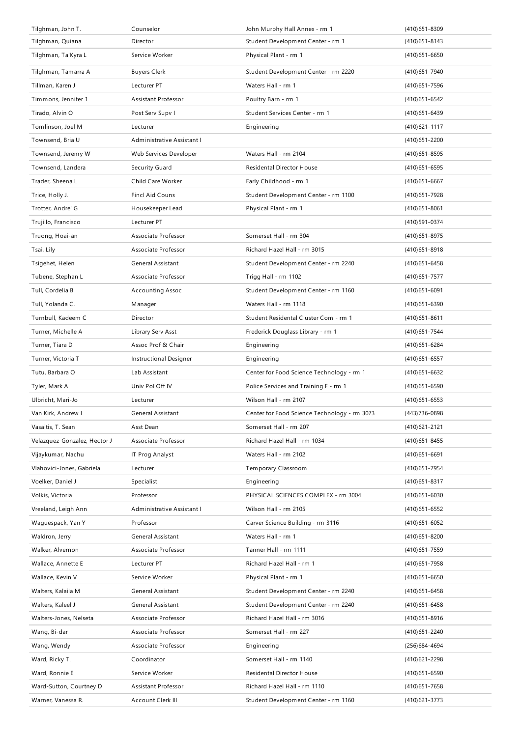| Tilghman, John T.            | Counselor                  | John Murphy Hall Annex - rm 1                | $(410)651 - 8309$ |
|------------------------------|----------------------------|----------------------------------------------|-------------------|
| Tilghman, Quiana             | Director                   | Student Development Center - rm 1            | $(410)651 - 8143$ |
| Tilghman, Ta'Kyra L          | Service Worker             | Physical Plant - rm 1                        | $(410)651 - 6650$ |
| Tilghman, Tamarra A          | <b>Buyers Clerk</b>        | Student Development Center - rm 2220         | (410) 651 - 7940  |
| Tillman, Karen J             | Lecturer PT                | Waters Hall - rm 1                           | (410) 651 - 7596  |
| Timmons, Jennifer 1          | Assistant Professor        | Poultry Barn - rm 1                          | (410) 651 - 6542  |
| Tirado, Alvin O              | Post Serv Supv I           | Student Services Center - rm 1               | (410) 651 - 6439  |
| Tomlinson, Joel M            | Lecturer                   | Engineering                                  | $(410)621 - 1117$ |
| Townsend, Bria U             | Administrative Assistant I |                                              | $(410)651 - 2200$ |
| Townsend, Jeremy W           | Web Services Developer     | Waters Hall - rm 2104                        | $(410)651 - 8595$ |
| Townsend, Landera            | Security Guard             | Residental Director House                    | $(410)651 - 6595$ |
| Trader, Sheena L             | Child Care Worker          | Early Childhood - rm 1                       | $(410)651 - 6667$ |
| Trice, Holly J.              | <b>Fincl Aid Couns</b>     | Student Development Center - rm 1100         | (410) 651 - 7928  |
| Trotter, Andre' G            | Housekeeper Lead           | Physical Plant - rm 1                        | $(410)651 - 8061$ |
| Trujillo, Francisco          | Lecturer PT                |                                              | (410) 591 - 0374  |
| Truong, Hoai-an              | Associate Professor        | Somerset Hall - rm 304                       | (410) 651-8975    |
| Tsai, Lily                   | Associate Professor        | Richard Hazel Hall - rm 3015                 | $(410)651 - 8918$ |
| Tsigehet, Helen              | General Assistant          | Student Development Center - rm 2240         | $(410)651 - 6458$ |
| Tubene, Stephan L            | Associate Professor        | Trigg Hall - rm 1102                         | (410) 651 - 7577  |
| Tull, Cordelia B             | <b>Accounting Assoc</b>    | Student Development Center - rm 1160         | $(410)651 - 6091$ |
| Tull, Yolanda C.             | Manager                    | Waters Hall - rm 1118                        | $(410)651 - 6390$ |
| Turnbull, Kadeem C           | Director                   | Student Residental Cluster Com - rm 1        | $(410)651 - 8611$ |
| Turner, Michelle A           | Library Serv Asst          | Frederick Douglass Library - rm 1            | (410) 651 - 7544  |
| Turner, Tiara D              | Assoc Prof & Chair         | Engineering                                  | (410) 651 - 6284  |
| Turner, Victoria T           | Instructional Designer     | Engineering                                  | $(410)651 - 6557$ |
| Tutu, Barbara O              | Lab Assistant              | Center for Food Science Technology - rm 1    | (410) 651-6632    |
|                              |                            |                                              |                   |
| Tyler, Mark A                | Univ Pol Off IV            | Police Services and Training F - rm 1        | (410) 651-6590    |
| Ulbricht, Mari-Jo            | Lecturer                   | Wilson Hall - rm 2107                        | $(410)651 - 6553$ |
| Van Kirk, Andrew I           | General Assistant          | Center for Food Science Technology - rm 3073 | (443) 736-0898    |
| Vasaitis, T. Sean            | Asst Dean                  | Somerset Hall - rm 207                       | (410) 621 - 2121  |
| Velazquez-Gonzalez, Hector J | Associate Professor        | Richard Hazel Hall - rm 1034                 | $(410)651 - 8455$ |
| Vijaykumar, Nachu            | IT Prog Analyst            | Waters Hall - rm 2102                        | $(410)651 - 6691$ |
| Vlahovici-Jones, Gabriela    | Lecturer                   | Temporary Classroom                          | (410) 651 - 7954  |
| Voelker, Daniel J            | Specialist                 | Engineering                                  | $(410)651 - 8317$ |
| Volkis, Victoria             | Professor                  | PHYSICAL SCIENCES COMPLEX - rm 3004          | $(410)651 - 6030$ |
| Vreeland, Leigh Ann          | Administrative Assistant I | Wilson Hall - rm 2105                        | $(410)651 - 6552$ |
| Waguespack, Yan Y            | Professor                  | Carver Science Building - rm 3116            | $(410)651 - 6052$ |
| Waldron, Jerry               | General Assistant          | Waters Hall - rm 1                           | $(410)651 - 8200$ |
| Walker, Alvernon             | Associate Professor        | Tanner Hall - rm 1111                        | $(410)651 - 7559$ |
| Wallace, Annette E           | Lecturer PT                | Richard Hazel Hall - rm 1                    | (410) 651 - 7958  |
| Wallace, Kevin V             | Service Worker             | Physical Plant - rm 1                        | $(410)651 - 6650$ |
| Walters, Kalaila M           | General Assistant          | Student Development Center - rm 2240         | $(410)651 - 6458$ |
| Walters, Kaleel J            | General Assistant          | Student Development Center - rm 2240         | $(410)651 - 6458$ |
| Walters-Jones, Nelseta       | Associate Professor        | Richard Hazel Hall - rm 3016                 | $(410)651 - 8916$ |
| Wang, Bi-dar                 | Associate Professor        | Somerset Hall - rm 227                       | (410) 651 - 2240  |
| Wang, Wendy                  | Associate Professor        | Engineering                                  | (256) 684 - 4694  |
| Ward, Ricky T.               | Coordinator                | Somerset Hall - rm 1140                      | (410) 621 - 2298  |
| Ward, Ronnie E               | Service Worker             | Residental Director House                    | $(410)651 - 6590$ |
| Ward-Sutton, Courtney D      | Assistant Professor        | Richard Hazel Hall - rm 1110                 | (410) 651 - 7658  |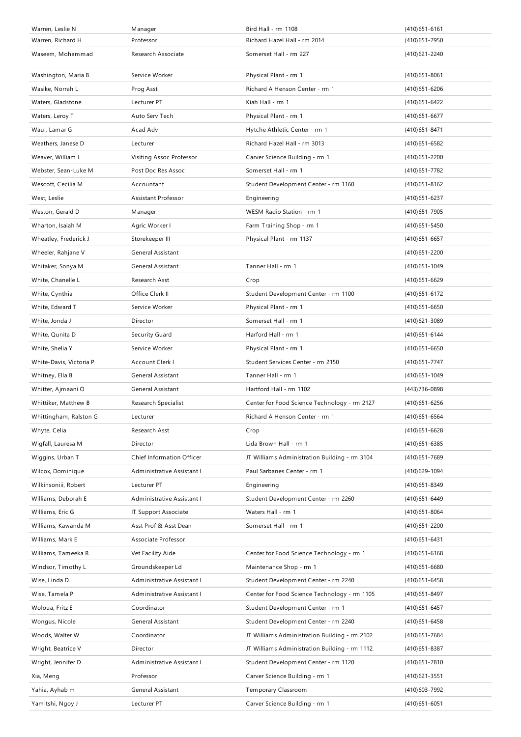| Warren, Leslie N        | Manager                    | Bird Hall - rm 1108                           | $(410)651 - 6161$ |
|-------------------------|----------------------------|-----------------------------------------------|-------------------|
| Warren, Richard H       | Professor                  | Richard Hazel Hall - rm 2014                  | (410) 651 - 7950  |
| Waseem, Mohammad        | Research Associate         | Somerset Hall - rm 227                        | (410) 621 - 2240  |
| Washington, Maria B     | Service Worker             | Physical Plant - rm 1                         | $(410)651 - 8061$ |
| Wasike, Norrah L        | Prog Asst                  | Richard A Henson Center - rm 1                | (410) 651-6206    |
| Waters, Gladstone       | Lecturer PT                | Kiah Hall - rm 1                              | (410) 651 - 6422  |
| Waters, Leroy T         | Auto Serv Tech             | Physical Plant - rm 1                         | $(410)651 - 6677$ |
| Waul, Lamar G           | Acad Adv                   | Hytche Athletic Center - rm 1                 | $(410)651 - 8471$ |
| Weathers, Janese D      | Lecturer                   | Richard Hazel Hall - rm 3013                  | (410) 651 - 6582  |
| Weaver, William L       | Visiting Assoc Professor   | Carver Science Building - rm 1                | (410) 651 - 2200  |
| Webster, Sean-Luke M    | Post Doc Res Assoc         | Somerset Hall - rm 1                          | (410) 651 - 7782  |
| Wescott, Cecilia M      | Accountant                 | Student Development Center - rm 1160          | $(410)651 - 8162$ |
| West, Leslie            | Assistant Professor        | Engineering                                   | (410) 651 - 6237  |
| Weston, Gerald D        | Manager                    | WESM Radio Station - rm 1                     | (410) 651 - 7905  |
| Wharton, Isaiah M       | Agric Worker I             | Farm Training Shop - rm 1                     | (410) 651 - 5450  |
| Wheatley, Frederick J   | Storekeeper III            | Physical Plant - rm 1137                      | $(410)651 - 6657$ |
| Wheeler, Rahjane V      | General Assistant          |                                               | $(410)651 - 2200$ |
| Whitaker, Sonya M       | <b>General Assistant</b>   | Tanner Hall - rm 1                            | (410) 651 - 1049  |
| White, Chanelle L       | Research Asst              | Crop                                          | $(410)651 - 6629$ |
| White, Cynthia          | Office Clerk II            | Student Development Center - rm 1100          | (410) 651 - 6172  |
| White, Edward T         | Service Worker             | Physical Plant - rm 1                         | $(410)651 - 6650$ |
| White, Jonda J          | Director                   | Somerset Hall - rm 1                          | $(410)621 - 3089$ |
| White, Qunita D         | Security Guard             | Harford Hall - rm 1                           | $(410)651 - 6144$ |
| White, Shelia Y         | Service Worker             | Physical Plant - rm 1                         | $(410)651 - 6650$ |
| White-Davis, Victoria P | Account Clerk I            | Student Services Center - rm 2150             | (410) 651 - 7747  |
| Whitney, Ella B         | General Assistant          | Tanner Hall - rm 1                            | $(410)651 - 1049$ |
| Whitter, Ajmaani O      | <b>General Assistant</b>   | Hartford Hall - rm 1102                       | (443) 736-0898    |
| Whittiker, Matthew B    | Research Specialist        | Center for Food Science Technology - rm 2127  | $(410)651 - 6256$ |
| Whittingham, Ralston G  | Lecturer                   | Richard A Henson Center - rm 1                | (410) 651 - 6564  |
| Whyte, Celia            | Research Asst              | Crop                                          | $(410)651 - 6628$ |
| Wigfall, Lauresa M      | Director                   | Lida Brown Hall - rm 1                        | (410) 651-6385    |
| Wiggins, Urban T        | Chief Information Officer  | JT Williams Administration Building - rm 3104 | (410) 651 - 7689  |
| Wilcox, Dominique       | Administrative Assistant I | Paul Sarbanes Center - rm 1                   | (410) 629 - 1094  |
| Wilkinsoniii, Robert    | Lecturer PT                | Engineering                                   | (410) 651-8349    |
| Williams, Deborah E     | Administrative Assistant I | Student Development Center - rm 2260          | (410) 651-6449    |
| Williams, Eric G        | IT Support Associate       | Waters Hall - rm 1                            | $(410)651 - 8064$ |
| Williams, Kawanda M     | Asst Prof & Asst Dean      | Somerset Hall - rm 1                          | (410) 651 - 2200  |
| Williams, Mark E        | Associate Professor        |                                               | $(410)651 - 6431$ |
| Williams, Tameeka R     | Vet Facility Aide          | Center for Food Science Technology - rm 1     | $(410)651 - 6168$ |
| Windsor, Timothy L      | Groundskeeper Ld           | Maintenance Shop - rm 1                       | $(410)651 - 6680$ |
| Wise, Linda D.          | Administrative Assistant I | Student Development Center - rm 2240          | $(410)651 - 6458$ |
| Wise, Tamela P          | Administrative Assistant I | Center for Food Science Technology - rm 1105  | (410) 651 - 8497  |
| Woloua, Fritz E         | Coordinator                | Student Development Center - rm 1             | $(410)651 - 6457$ |
| Wongus, Nicole          | General Assistant          | Student Development Center - rm 2240          | $(410)651 - 6458$ |
| Woods, Walter W         | Coordinator                | JT Williams Administration Building - rm 2102 | (410) 651 - 7684  |
| Wright, Beatrice V      | Director                   | JT Williams Administration Building - rm 1112 | $(410)651 - 8387$ |
| Wright, Jennifer D      | Administrative Assistant I | Student Development Center - rm 1120          | (410) 651 - 7810  |
| Xia, Meng               | Professor                  | Carver Science Building - rm 1                | $(410)621 - 3551$ |
| Yahia, Ayhab m          | General Assistant          | Temporary Classroom                           | (410) 603 - 7992  |
| Yamitshi, Ngoy J        | Lecturer PT                | Carver Science Building - rm 1                | $(410)651 - 6051$ |